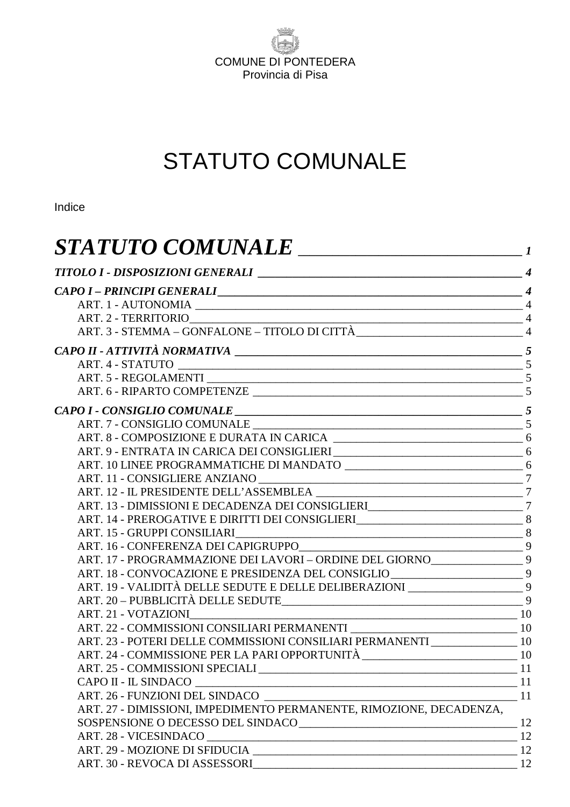

# STATUTO COMUNALE

Indice

| <b>STATUTO COMUNALE</b><br><u> 1989 - Johann Stoff, fransk kampens og den s</u>   |    |
|-----------------------------------------------------------------------------------|----|
|                                                                                   |    |
| CAPO I – PRINCIPI GENERALI                                                        |    |
|                                                                                   |    |
|                                                                                   |    |
|                                                                                   |    |
|                                                                                   |    |
|                                                                                   |    |
|                                                                                   |    |
|                                                                                   |    |
|                                                                                   |    |
|                                                                                   |    |
|                                                                                   |    |
|                                                                                   |    |
|                                                                                   |    |
|                                                                                   |    |
|                                                                                   |    |
| ART. 13 - DIMISSIONI E DECADENZA DEI CONSIGLIERI<br>7                             |    |
|                                                                                   |    |
|                                                                                   |    |
|                                                                                   |    |
| ART. 17 - PROGRAMMAZIONE DEI LAVORI – ORDINE DEL GIORNO____________________9      |    |
| ART. 18 - CONVOCAZIONE E PRESIDENZA DEL CONSIGLIO ______________________________9 |    |
| ART. 19 - VALIDITÀ DELLE SEDUTE E DELLE DELIBERAZIONI _______________________9    |    |
|                                                                                   |    |
| $\begin{array}{c c} \hline \textbf{10} & \textbf{0} \\ \hline \end{array}$        |    |
|                                                                                   |    |
| ART. 23 - POTERI DELLE COMMISSIONI CONSILIARI PERMANENTI __________________ 10    |    |
|                                                                                   |    |
|                                                                                   |    |
|                                                                                   |    |
| ART. 26 - FUNZIONI DEL SINDACO 11                                                 |    |
| ART. 27 - DIMISSIONI, IMPEDIMENTO PERMANENTE, RIMOZIONE, DECADENZA,               |    |
| SOSPENSIONE O DECESSO DEL SINDACO<br>12                                           |    |
| ART. 28 - VICESINDACO<br>$\sim$ 12                                                |    |
|                                                                                   |    |
|                                                                                   | 12 |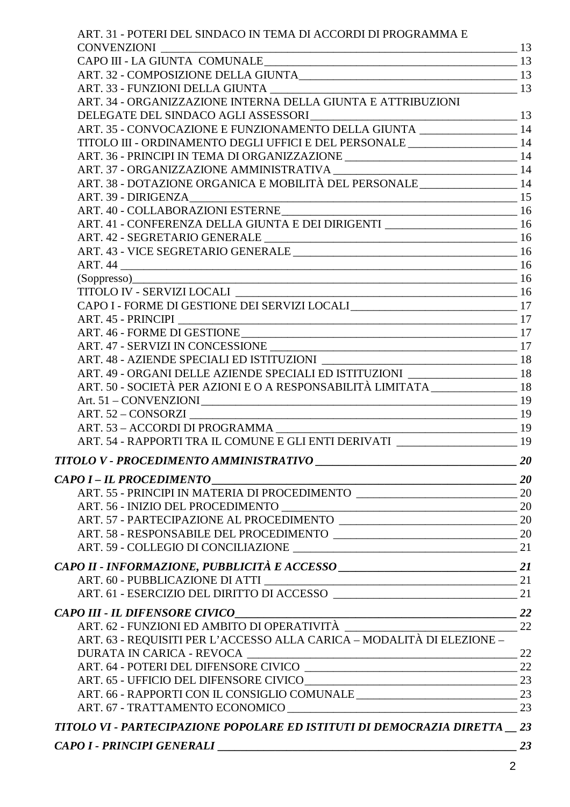| ART. 31 - POTERI DEL SINDACO IN TEMA DI ACCORDI DI PROGRAMMA E                                                                                                                       |    |
|--------------------------------------------------------------------------------------------------------------------------------------------------------------------------------------|----|
| $\begin{tabular}{l c c c} \hline CONVENZIONI & \multicolumn{2}{ c }{\textbf{13}} \\ \hline \textbf{CAPO III - LA GIUNTA COMUNALE}\hspace{0.08cm}\textbf{13} \\ \hline \end{tabular}$ |    |
|                                                                                                                                                                                      |    |
|                                                                                                                                                                                      |    |
|                                                                                                                                                                                      |    |
|                                                                                                                                                                                      |    |
| DELEGATE DEL SINDACO AGLI ASSESSORI<br>ART. 35 - CONVOCAZIONE E FUNZIONAMENTO DELLA GIUNTA ______________________ 14                                                                 |    |
|                                                                                                                                                                                      |    |
| TITOLO III - ORDINAMENTO DEGLI UFFICI E DEL PERSONALE _________________________14                                                                                                    |    |
|                                                                                                                                                                                      |    |
|                                                                                                                                                                                      |    |
| ART. 38 - DOTAZIONE ORGANICA E MOBILITÀ DEL PERSONALE ____________________ 14                                                                                                        |    |
|                                                                                                                                                                                      |    |
|                                                                                                                                                                                      |    |
| ART. 41 - CONFERENZA DELLA GIUNTA E DEI DIRIGENTI                                                                                                                                    |    |
|                                                                                                                                                                                      |    |
|                                                                                                                                                                                      |    |
|                                                                                                                                                                                      |    |
|                                                                                                                                                                                      |    |
|                                                                                                                                                                                      |    |
| CAPO I - FORME DI GESTIONE DEI SERVIZI LOCALI <sub>17</sub>                                                                                                                          |    |
|                                                                                                                                                                                      |    |
|                                                                                                                                                                                      |    |
|                                                                                                                                                                                      |    |
|                                                                                                                                                                                      |    |
| ART. 49 - ORGANI DELLE AZIENDE SPECIALI ED ISTITUZIONI _____________________ 18                                                                                                      |    |
| ART. 50 - SOCIETÀ PER AZIONI E O A RESPONSABILITÀ LIMITATA_____________________18                                                                                                    |    |
|                                                                                                                                                                                      |    |
|                                                                                                                                                                                      |    |
|                                                                                                                                                                                      |    |
| ART. 54 - RAPPORTI TRA IL COMUNE E GLI ENTI DERIVATI ___________________________ 19                                                                                                  |    |
|                                                                                                                                                                                      |    |
|                                                                                                                                                                                      |    |
|                                                                                                                                                                                      |    |
| ART. 55 - PRINCIPI IN MATERIA DI PROCEDIMENTO                                                                                                                                        |    |
|                                                                                                                                                                                      |    |
|                                                                                                                                                                                      |    |
|                                                                                                                                                                                      |    |
|                                                                                                                                                                                      |    |
|                                                                                                                                                                                      |    |
|                                                                                                                                                                                      |    |
|                                                                                                                                                                                      |    |
| $\sim$ 22<br>CAPO III - IL DIFENSORE CIVICO                                                                                                                                          |    |
|                                                                                                                                                                                      |    |
| ART. 63 - REQUISITI PER L'ACCESSO ALLA CARICA – MODALITÀ DI ELEZIONE –                                                                                                               |    |
|                                                                                                                                                                                      |    |
|                                                                                                                                                                                      |    |
|                                                                                                                                                                                      |    |
|                                                                                                                                                                                      |    |
|                                                                                                                                                                                      |    |
|                                                                                                                                                                                      |    |
| TITOLO VI - PARTECIPAZIONE POPOLARE ED ISTITUTI DI DEMOCRAZIA DIRETTA       23                                                                                                       |    |
|                                                                                                                                                                                      | 23 |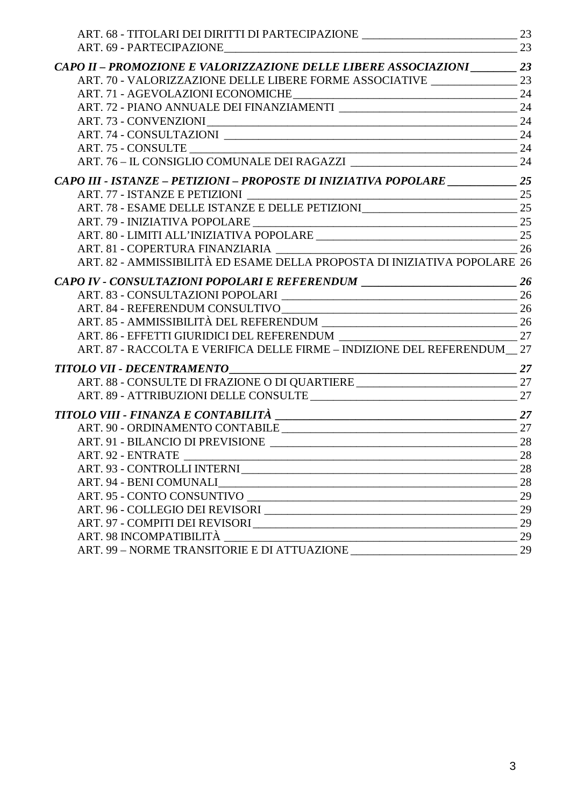| ART. 68 - TITOLARI DEI DIRITTI DI PARTECIPAZIONE _________________________________ 23 |    |
|---------------------------------------------------------------------------------------|----|
|                                                                                       |    |
| CAPO II - PROMOZIONE E VALORIZZAZIONE DELLE LIBERE ASSOCIAZIONI __________ 23         |    |
| ART. 70 - VALORIZZAZIONE DELLE LIBERE FORME ASSOCIATIVE ________________________      | 23 |
|                                                                                       |    |
|                                                                                       |    |
|                                                                                       | 24 |
|                                                                                       |    |
|                                                                                       |    |
|                                                                                       |    |
| CAPO III - ISTANZE - PETIZIONI - PROPOSTE DI INIZIATIVA POPOLARE ________________25   |    |
|                                                                                       |    |
|                                                                                       |    |
|                                                                                       |    |
|                                                                                       |    |
|                                                                                       |    |
| ART. 82 - AMMISSIBILITÀ ED ESAME DELLA PROPOSTA DI INIZIATIVA POPOLARE 26             |    |
| CAPO IV - CONSULTAZIONI POPOLARI E REFERENDUM ___________________________________26   |    |
|                                                                                       |    |
|                                                                                       |    |
|                                                                                       |    |
|                                                                                       |    |
| ART. 87 - RACCOLTA E VERIFICA DELLE FIRME - INDIZIONE DEL REFERENDUM 27               |    |
|                                                                                       |    |
|                                                                                       |    |
|                                                                                       |    |
|                                                                                       |    |
|                                                                                       |    |
|                                                                                       |    |
| ART. 92 - ENTRATE                                                                     | 28 |
|                                                                                       | 28 |
|                                                                                       | 28 |
|                                                                                       | 29 |
|                                                                                       | 29 |
|                                                                                       | 29 |
|                                                                                       | 29 |
|                                                                                       | 29 |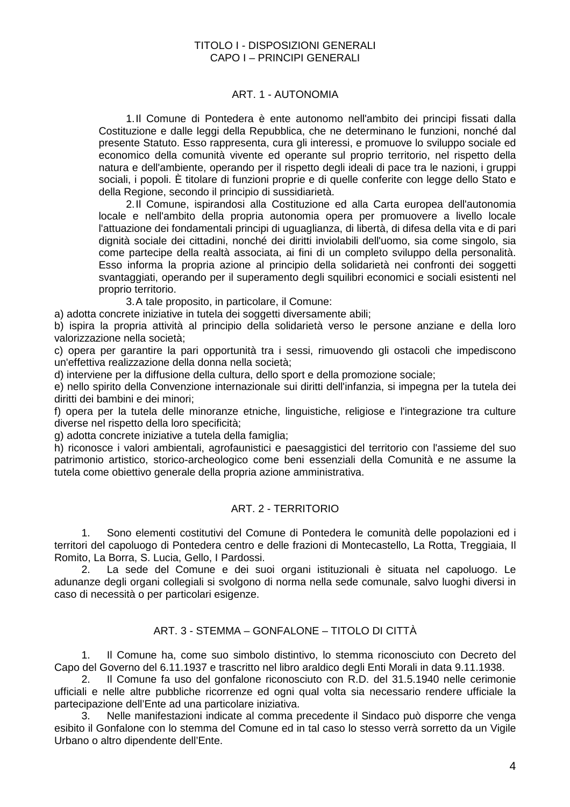#### TITOLO I - DISPOSIZIONI GENERALI CAPO I – PRINCIPI GENERALI

# ART. 1 - AUTONOMIA

1. Il Comune di Pontedera è ente autonomo nell'ambito dei principi fissati dalla Costituzione e dalle leggi della Repubblica, che ne determinano le funzioni, nonché dal presente Statuto. Esso rappresenta, cura gli interessi, e promuove lo sviluppo sociale ed economico della comunità vivente ed operante sul proprio territorio, nel rispetto della natura e dell'ambiente, operando per il rispetto degli ideali di pace tra le nazioni, i gruppi sociali, i popoli. È titolare di funzioni proprie e di quelle conferite con legge dello Stato e della Regione, secondo il principio di sussidiarietà.

2. Il Comune, ispirandosi alla Costituzione ed alla Carta europea dell'autonomia locale e nell'ambito della propria autonomia opera per promuovere a livello locale l'attuazione dei fondamentali principi di uguaglianza, di libertà, di difesa della vita e di pari dignità sociale dei cittadini, nonché dei diritti inviolabili dell'uomo, sia come singolo, sia come partecipe della realtà associata, ai fini di un completo sviluppo della personalità. Esso informa la propria azione al principio della solidarietà nei confronti dei soggetti svantaggiati, operando per il superamento degli squilibri economici e sociali esistenti nel proprio territorio.

3. A tale proposito, in particolare, il Comune:

a) adotta concrete iniziative in tutela dei soggetti diversamente abili;

b) ispira la propria attività al principio della solidarietà verso le persone anziane e della loro valorizzazione nella società;

c) opera per garantire la pari opportunità tra i sessi, rimuovendo gli ostacoli che impediscono un'effettiva realizzazione della donna nella società;

d) interviene per la diffusione della cultura, dello sport e della promozione sociale;

e) nello spirito della Convenzione internazionale sui diritti dell'infanzia, si impegna per la tutela dei diritti dei bambini e dei minori;

f) opera per la tutela delle minoranze etniche, linguistiche, religiose e l'integrazione tra culture diverse nel rispetto della loro specificità;

g) adotta concrete iniziative a tutela della famiglia;

h) riconosce i valori ambientali, agrofaunistici e paesaggistici del territorio con l'assieme del suo patrimonio artistico, storico-archeologico come beni essenziali della Comunità e ne assume la tutela come obiettivo generale della propria azione amministrativa.

# ART. 2 - TERRITORIO

1. Sono elementi costitutivi del Comune di Pontedera le comunità delle popolazioni ed i territori del capoluogo di Pontedera centro e delle frazioni di Montecastello, La Rotta, Treggiaia, Il Romito, La Borra, S. Lucia, Gello, I Pardossi.

2. La sede del Comune e dei suoi organi istituzionali è situata nel capoluogo. Le adunanze degli organi collegiali si svolgono di norma nella sede comunale, salvo luoghi diversi in caso di necessità o per particolari esigenze.

# ART. 3 - STEMMA – GONFALONE – TITOLO DI CITTÀ

1. Il Comune ha, come suo simbolo distintivo, lo stemma riconosciuto con Decreto del Capo del Governo del 6.11.1937 e trascritto nel libro araldico degli Enti Morali in data 9.11.1938.

2. Il Comune fa uso del gonfalone riconosciuto con R.D. del 31.5.1940 nelle cerimonie ufficiali e nelle altre pubbliche ricorrenze ed ogni qual volta sia necessario rendere ufficiale la partecipazione dell'Ente ad una particolare iniziativa.

3. Nelle manifestazioni indicate al comma precedente il Sindaco può disporre che venga esibito il Gonfalone con lo stemma del Comune ed in tal caso lo stesso verrà sorretto da un Vigile Urbano o altro dipendente dell'Ente.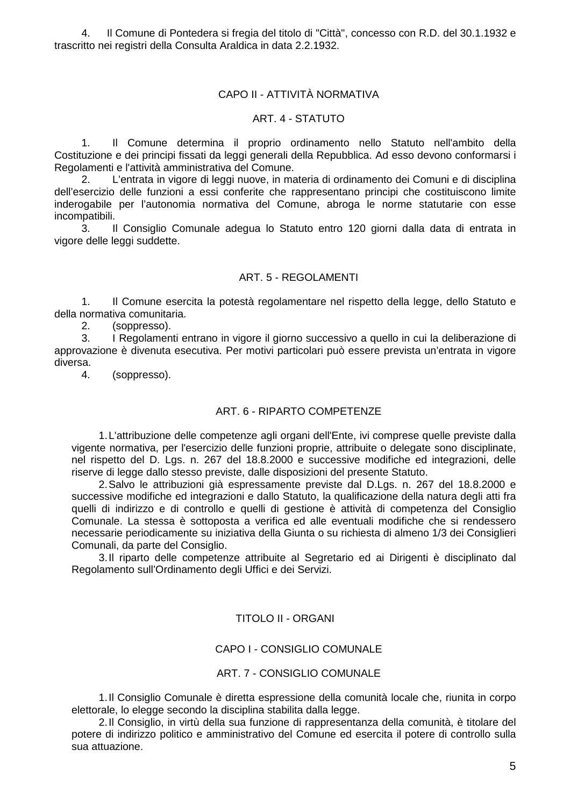4. Il Comune di Pontedera si fregia del titolo di "Città", concesso con R.D. del 30.1.1932 e trascritto nei registri della Consulta Araldica in data 2.2.1932.

# CAPO II - ATTIVITÀ NORMATIVA

#### ART. 4 - STATUTO

1. Il Comune determina il proprio ordinamento nello Statuto nell'ambito della Costituzione e dei principi fissati da leggi generali della Repubblica. Ad esso devono conformarsi i Regolamenti e l'attività amministrativa del Comune.

2. L'entrata in vigore di leggi nuove, in materia di ordinamento dei Comuni e di disciplina dell'esercizio delle funzioni a essi conferite che rappresentano principi che costituiscono limite inderogabile per l'autonomia normativa del Comune, abroga le norme statutarie con esse incompatibili.

3. Il Consiglio Comunale adegua lo Statuto entro 120 giorni dalla data di entrata in vigore delle leggi suddette.

#### ART. 5 - REGOLAMENTI

1. Il Comune esercita la potestà regolamentare nel rispetto della legge, dello Statuto e della normativa comunitaria.

2. (soppresso).

3. I Regolamenti entrano in vigore il giorno successivo a quello in cui la deliberazione di approvazione è divenuta esecutiva. Per motivi particolari può essere prevista un'entrata in vigore diversa.

4. (soppresso).

#### ART. 6 - RIPARTO COMPETENZE

1. L'attribuzione delle competenze agli organi dell'Ente, ivi comprese quelle previste dalla vigente normativa, per l'esercizio delle funzioni proprie, attribuite o delegate sono disciplinate, nel rispetto del D. Lgs. n. 267 del 18.8.2000 e successive modifiche ed integrazioni, delle riserve di legge dallo stesso previste, dalle disposizioni del presente Statuto.

2. Salvo le attribuzioni già espressamente previste dal D.Lgs. n. 267 del 18.8.2000 e successive modifiche ed integrazioni e dallo Statuto, la qualificazione della natura degli atti fra quelli di indirizzo e di controllo e quelli di gestione è attività di competenza del Consiglio Comunale. La stessa è sottoposta a verifica ed alle eventuali modifiche che si rendessero necessarie periodicamente su iniziativa della Giunta o su richiesta di almeno 1/3 dei Consiglieri Comunali, da parte del Consiglio.

3. Il riparto delle competenze attribuite al Segretario ed ai Dirigenti è disciplinato dal Regolamento sull'Ordinamento degli Uffici e dei Servizi.

#### TITOLO II - ORGANI

#### CAPO I - CONSIGLIO COMUNALE

#### ART. 7 - CONSIGLIO COMUNALE

1. Il Consiglio Comunale è diretta espressione della comunità locale che, riunita in corpo elettorale, lo elegge secondo la disciplina stabilita dalla legge.

2. Il Consiglio, in virtù della sua funzione di rappresentanza della comunità, è titolare del potere di indirizzo politico e amministrativo del Comune ed esercita il potere di controllo sulla sua attuazione.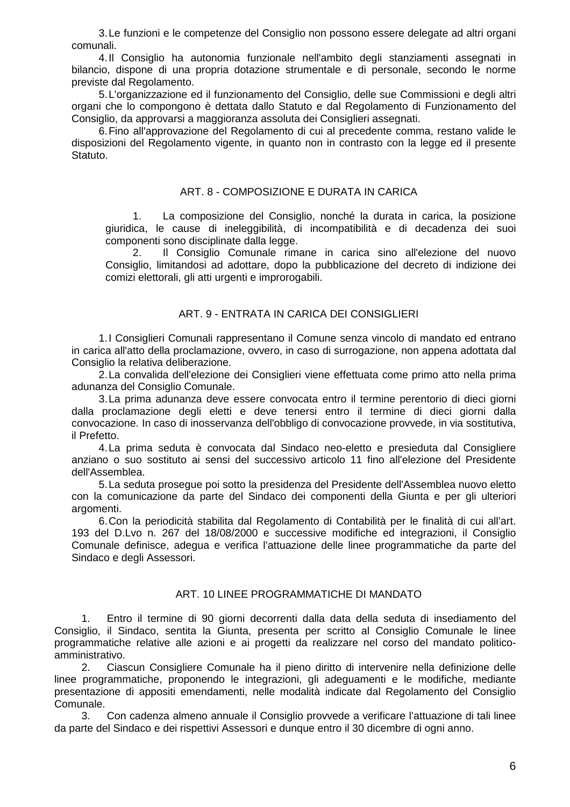3. Le funzioni e le competenze del Consiglio non possono essere delegate ad altri organi comunali.

4. Il Consiglio ha autonomia funzionale nell'ambito degli stanziamenti assegnati in bilancio, dispone di una propria dotazione strumentale e di personale, secondo le norme previste dal Regolamento.

5. L'organizzazione ed il funzionamento del Consiglio, delle sue Commissioni e degli altri organi che lo compongono è dettata dallo Statuto e dal Regolamento di Funzionamento del Consiglio, da approvarsi a maggioranza assoluta dei Consiglieri assegnati.

6. Fino all'approvazione del Regolamento di cui al precedente comma, restano valide le disposizioni del Regolamento vigente, in quanto non in contrasto con la legge ed il presente Statuto.

## ART. 8 - COMPOSIZIONE E DURATA IN CARICA

1. La composizione del Consiglio, nonché la durata in carica, la posizione giuridica, le cause di ineleggibilità, di incompatibilità e di decadenza dei suoi componenti sono disciplinate dalla legge.

2. Il Consiglio Comunale rimane in carica sino all'elezione del nuovo Consiglio, limitandosi ad adottare, dopo la pubblicazione del decreto di indizione dei comizi elettorali, gli atti urgenti e improrogabili.

## ART. 9 - ENTRATA IN CARICA DEI CONSIGLIERI

1. I Consiglieri Comunali rappresentano il Comune senza vincolo di mandato ed entrano in carica all'atto della proclamazione, ovvero, in caso di surrogazione, non appena adottata dal Consiglio la relativa deliberazione.

2. La convalida dell'elezione dei Consiglieri viene effettuata come primo atto nella prima adunanza del Consiglio Comunale.

3. La prima adunanza deve essere convocata entro il termine perentorio di dieci giorni dalla proclamazione degli eletti e deve tenersi entro il termine di dieci giorni dalla convocazione. In caso di inosservanza dell'obbligo di convocazione provvede, in via sostitutiva, il Prefetto.

4. La prima seduta è convocata dal Sindaco neo-eletto e presieduta dal Consigliere anziano o suo sostituto ai sensi del successivo articolo 11 fino all'elezione del Presidente dell'Assemblea.

5. La seduta prosegue poi sotto la presidenza del Presidente dell'Assemblea nuovo eletto con la comunicazione da parte del Sindaco dei componenti della Giunta e per gli ulteriori argomenti.

6. Con la periodicità stabilita dal Regolamento di Contabilità per le finalità di cui all'art. 193 del D.Lvo n. 267 del 18/08/2000 e successive modifiche ed integrazioni, il Consiglio Comunale definisce, adegua e verifica l'attuazione delle linee programmatiche da parte del Sindaco e degli Assessori.

## ART. 10 LINEE PROGRAMMATICHE DI MANDATO

1. Entro il termine di 90 giorni decorrenti dalla data della seduta di insediamento del Consiglio, il Sindaco, sentita la Giunta, presenta per scritto al Consiglio Comunale le linee programmatiche relative alle azioni e ai progetti da realizzare nel corso del mandato politicoamministrativo.

2. Ciascun Consigliere Comunale ha il pieno diritto di intervenire nella definizione delle linee programmatiche, proponendo le integrazioni, gli adeguamenti e le modifiche, mediante presentazione di appositi emendamenti, nelle modalità indicate dal Regolamento del Consiglio Comunale.

3. Con cadenza almeno annuale il Consiglio provvede a verificare l'attuazione di tali linee da parte del Sindaco e dei rispettivi Assessori e dunque entro il 30 dicembre di ogni anno.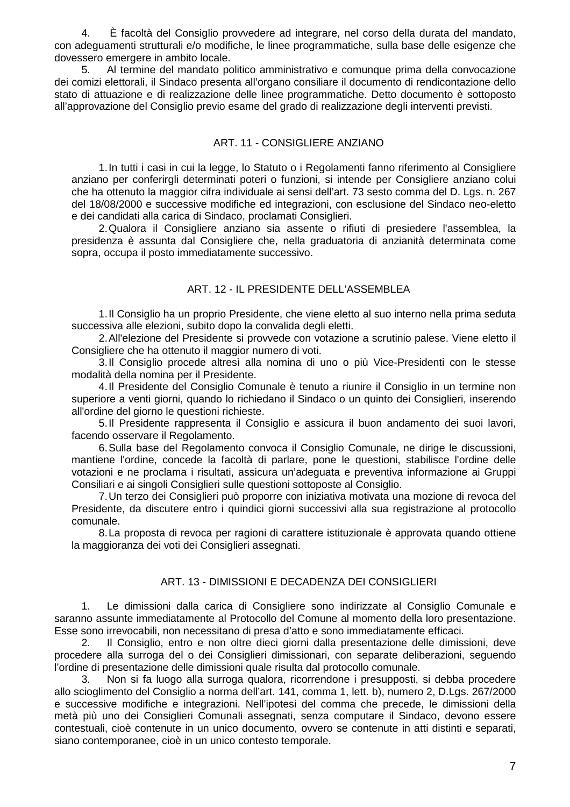4. È facoltà del Consiglio provvedere ad integrare, nel corso della durata del mandato, con adeguamenti strutturali e/o modifiche, le linee programmatiche, sulla base delle esigenze che dovessero emergere in ambito locale.

5. Al termine del mandato politico amministrativo e comunque prima della convocazione dei comizi elettorali, il Sindaco presenta all'organo consiliare il documento di rendicontazione dello stato di attuazione e di realizzazione delle linee programmatiche. Detto documento è sottoposto all'approvazione del Consiglio previo esame del grado di realizzazione degli interventi previsti.

# ART. 11 - CONSIGLIERE ANZIANO

1. In tutti i casi in cui la legge, lo Statuto o i Regolamenti fanno riferimento al Consigliere anziano per conferirgli determinati poteri o funzioni, si intende per Consigliere anziano colui che ha ottenuto la maggior cifra individuale ai sensi dell'art. 73 sesto comma del D. Lgs. n. 267 del 18/08/2000 e successive modifiche ed integrazioni, con esclusione del Sindaco neo-eletto e dei candidati alla carica di Sindaco, proclamati Consiglieri.

2. Qualora il Consigliere anziano sia assente o rifiuti di presiedere l'assemblea, la presidenza è assunta dal Consigliere che, nella graduatoria di anzianità determinata come sopra, occupa il posto immediatamente successivo.

# ART. 12 - IL PRESIDENTE DELL'ASSEMBLEA

1. Il Consiglio ha un proprio Presidente, che viene eletto al suo interno nella prima seduta successiva alle elezioni, subito dopo la convalida degli eletti.

2. All'elezione del Presidente si provvede con votazione a scrutinio palese. Viene eletto il Consigliere che ha ottenuto il maggior numero di voti.

3. Il Consiglio procede altresì alla nomina di uno o più Vice-Presidenti con le stesse modalità della nomina per il Presidente.

4. Il Presidente del Consiglio Comunale è tenuto a riunire il Consiglio in un termine non superiore a venti giorni, quando lo richiedano il Sindaco o un quinto dei Consiglieri, inserendo all'ordine del giorno le questioni richieste.

5. Il Presidente rappresenta il Consiglio e assicura il buon andamento dei suoi lavori, facendo osservare il Regolamento.

6. Sulla base del Regolamento convoca il Consiglio Comunale, ne dirige le discussioni, mantiene l'ordine, concede la facoltà di parlare, pone le questioni, stabilisce l'ordine delle votazioni e ne proclama i risultati, assicura un'adeguata e preventiva informazione ai Gruppi Consiliari e ai singoli Consiglieri sulle questioni sottoposte al Consiglio.

7. Un terzo dei Consiglieri può proporre con iniziativa motivata una mozione di revoca del Presidente, da discutere entro i quindici giorni successivi alla sua registrazione al protocollo comunale.

8. La proposta di revoca per ragioni di carattere istituzionale è approvata quando ottiene la maggioranza dei voti dei Consiglieri assegnati.

# ART. 13 - DIMISSIONI E DECADENZA DEI CONSIGLIERI

1. Le dimissioni dalla carica di Consigliere sono indirizzate al Consiglio Comunale e saranno assunte immediatamente al Protocollo del Comune al momento della loro presentazione. Esse sono irrevocabili, non necessitano di presa d'atto e sono immediatamente efficaci.

2. Il Consiglio, entro e non oltre dieci giorni dalla presentazione delle dimissioni, deve procedere alla surroga del o dei Consiglieri dimissionari, con separate deliberazioni, seguendo l'ordine di presentazione delle dimissioni quale risulta dal protocollo comunale.

3. Non si fa luogo alla surroga qualora, ricorrendone i presupposti, si debba procedere allo scioglimento del Consiglio a norma dell'art. 141, comma 1, lett. b), numero 2, D.Lgs. 267/2000 e successive modifiche e integrazioni. Nell'ipotesi del comma che precede, le dimissioni della metà più uno dei Consiglieri Comunali assegnati, senza computare il Sindaco, devono essere contestuali, cioè contenute in un unico documento, ovvero se contenute in atti distinti e separati, siano contemporanee, cioè in un unico contesto temporale.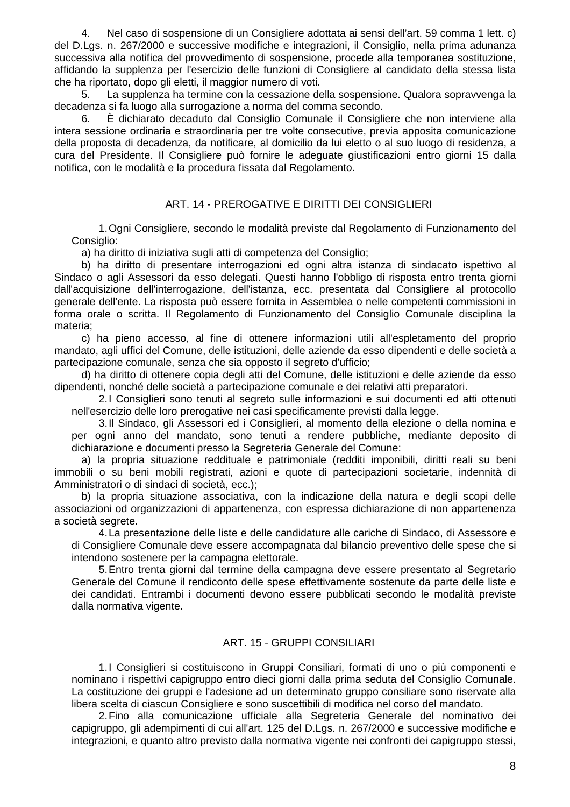4. Nel caso di sospensione di un Consigliere adottata ai sensi dell'art. 59 comma 1 lett. c) del D.Lgs. n. 267/2000 e successive modifiche e integrazioni, il Consiglio, nella prima adunanza successiva alla notifica del provvedimento di sospensione, procede alla temporanea sostituzione, affidando la supplenza per l'esercizio delle funzioni di Consigliere al candidato della stessa lista che ha riportato, dopo gli eletti, il maggior numero di voti.

5. La supplenza ha termine con la cessazione della sospensione. Qualora sopravvenga la decadenza si fa luogo alla surrogazione a norma del comma secondo.

6. È dichiarato decaduto dal Consiglio Comunale il Consigliere che non interviene alla intera sessione ordinaria e straordinaria per tre volte consecutive, previa apposita comunicazione della proposta di decadenza, da notificare, al domicilio da lui eletto o al suo luogo di residenza, a cura del Presidente. Il Consigliere può fornire le adeguate giustificazioni entro giorni 15 dalla notifica, con le modalità e la procedura fissata dal Regolamento.

# ART. 14 - PREROGATIVE E DIRITTI DEI CONSIGLIERI

1. Ogni Consigliere, secondo le modalità previste dal Regolamento di Funzionamento del Consiglio:

a) ha diritto di iniziativa sugli atti di competenza del Consiglio;

b) ha diritto di presentare interrogazioni ed ogni altra istanza di sindacato ispettivo al Sindaco o agli Assessori da esso delegati. Questi hanno l'obbligo di risposta entro trenta giorni dall'acquisizione dell'interrogazione, dell'istanza, ecc. presentata dal Consigliere al protocollo generale dell'ente. La risposta può essere fornita in Assemblea o nelle competenti commissioni in forma orale o scritta. Il Regolamento di Funzionamento del Consiglio Comunale disciplina la materia;

c) ha pieno accesso, al fine di ottenere informazioni utili all'espletamento del proprio mandato, agli uffici del Comune, delle istituzioni, delle aziende da esso dipendenti e delle società a partecipazione comunale, senza che sia opposto il segreto d'ufficio;

d) ha diritto di ottenere copia degli atti del Comune, delle istituzioni e delle aziende da esso dipendenti, nonché delle società a partecipazione comunale e dei relativi atti preparatori.

2. I Consiglieri sono tenuti al segreto sulle informazioni e sui documenti ed atti ottenuti nell'esercizio delle loro prerogative nei casi specificamente previsti dalla legge.

3. Il Sindaco, gli Assessori ed i Consiglieri, al momento della elezione o della nomina e per ogni anno del mandato, sono tenuti a rendere pubbliche, mediante deposito di dichiarazione e documenti presso la Segreteria Generale del Comune:

a) la propria situazione reddituale e patrimoniale (redditi imponibili, diritti reali su beni immobili o su beni mobili registrati, azioni e quote di partecipazioni societarie, indennità di Amministratori o di sindaci di società, ecc.);

b) la propria situazione associativa, con la indicazione della natura e degli scopi delle associazioni od organizzazioni di appartenenza, con espressa dichiarazione di non appartenenza a società segrete.

4. La presentazione delle liste e delle candidature alle cariche di Sindaco, di Assessore e di Consigliere Comunale deve essere accompagnata dal bilancio preventivo delle spese che si intendono sostenere per la campagna elettorale.

5. Entro trenta giorni dal termine della campagna deve essere presentato al Segretario Generale del Comune il rendiconto delle spese effettivamente sostenute da parte delle liste e dei candidati. Entrambi i documenti devono essere pubblicati secondo le modalità previste dalla normativa vigente.

# ART. 15 - GRUPPI CONSILIARI

1. I Consiglieri si costituiscono in Gruppi Consiliari, formati di uno o più componenti e nominano i rispettivi capigruppo entro dieci giorni dalla prima seduta del Consiglio Comunale. La costituzione dei gruppi e l'adesione ad un determinato gruppo consiliare sono riservate alla libera scelta di ciascun Consigliere e sono suscettibili di modifica nel corso del mandato.

2. Fino alla comunicazione ufficiale alla Segreteria Generale del nominativo dei capigruppo, gli adempimenti di cui all'art. 125 del D.Lgs. n. 267/2000 e successive modifiche e integrazioni, e quanto altro previsto dalla normativa vigente nei confronti dei capigruppo stessi,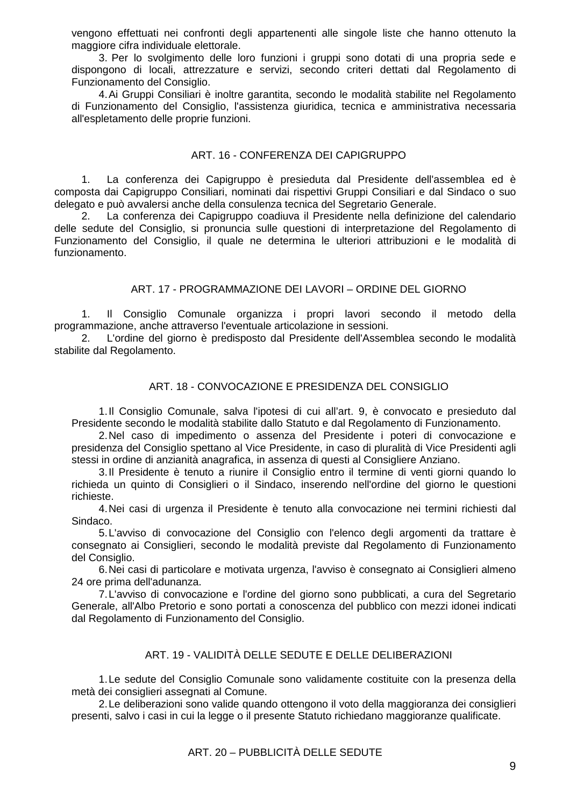vengono effettuati nei confronti degli appartenenti alle singole liste che hanno ottenuto la maggiore cifra individuale elettorale.

3. Per lo svolgimento delle loro funzioni i gruppi sono dotati di una propria sede e dispongono di locali, attrezzature e servizi, secondo criteri dettati dal Regolamento di Funzionamento del Consiglio.

4. Ai Gruppi Consiliari è inoltre garantita, secondo le modalità stabilite nel Regolamento di Funzionamento del Consiglio, l'assistenza giuridica, tecnica e amministrativa necessaria all'espletamento delle proprie funzioni.

## ART. 16 - CONFERENZA DEI CAPIGRUPPO

1. La conferenza dei Capigruppo è presieduta dal Presidente dell'assemblea ed è composta dai Capigruppo Consiliari, nominati dai rispettivi Gruppi Consiliari e dal Sindaco o suo delegato e può avvalersi anche della consulenza tecnica del Segretario Generale.

2. La conferenza dei Capigruppo coadiuva il Presidente nella definizione del calendario delle sedute del Consiglio, si pronuncia sulle questioni di interpretazione del Regolamento di Funzionamento del Consiglio, il quale ne determina le ulteriori attribuzioni e le modalità di funzionamento.

## ART. 17 - PROGRAMMAZIONE DEI LAVORI – ORDINE DEL GIORNO

1. Il Consiglio Comunale organizza i propri lavori secondo il metodo della programmazione, anche attraverso l'eventuale articolazione in sessioni.

2. L'ordine del giorno è predisposto dal Presidente dell'Assemblea secondo le modalità stabilite dal Regolamento.

## ART. 18 - CONVOCAZIONE E PRESIDENZA DEL CONSIGLIO

1. Il Consiglio Comunale, salva l'ipotesi di cui all'art. 9, è convocato e presieduto dal Presidente secondo le modalità stabilite dallo Statuto e dal Regolamento di Funzionamento.

2. Nel caso di impedimento o assenza del Presidente i poteri di convocazione e presidenza del Consiglio spettano al Vice Presidente, in caso di pluralità di Vice Presidenti agli stessi in ordine di anzianità anagrafica, in assenza di questi al Consigliere Anziano.

3. Il Presidente è tenuto a riunire il Consiglio entro il termine di venti giorni quando lo richieda un quinto di Consiglieri o il Sindaco, inserendo nell'ordine del giorno le questioni richieste.

4. Nei casi di urgenza il Presidente è tenuto alla convocazione nei termini richiesti dal Sindaco.

5. L'avviso di convocazione del Consiglio con l'elenco degli argomenti da trattare è consegnato ai Consiglieri, secondo le modalità previste dal Regolamento di Funzionamento del Consiglio.

6. Nei casi di particolare e motivata urgenza, l'avviso è consegnato ai Consiglieri almeno 24 ore prima dell'adunanza.

7. L'avviso di convocazione e l'ordine del giorno sono pubblicati, a cura del Segretario Generale, all'Albo Pretorio e sono portati a conoscenza del pubblico con mezzi idonei indicati dal Regolamento di Funzionamento del Consiglio.

## ART. 19 - VALIDITÀ DELLE SEDUTE E DELLE DELIBERAZIONI

1. Le sedute del Consiglio Comunale sono validamente costituite con la presenza della metà dei consiglieri assegnati al Comune.

2. Le deliberazioni sono valide quando ottengono il voto della maggioranza dei consiglieri presenti, salvo i casi in cui la legge o il presente Statuto richiedano maggioranze qualificate.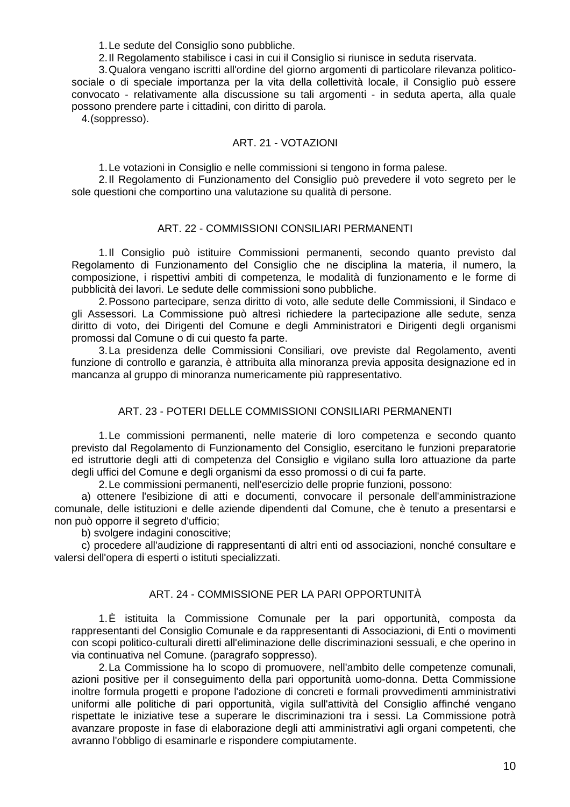1. Le sedute del Consiglio sono pubbliche.

2. Il Regolamento stabilisce i casi in cui il Consiglio si riunisce in seduta riservata.

3. Qualora vengano iscritti all'ordine del giorno argomenti di particolare rilevanza politicosociale o di speciale importanza per la vita della collettività locale, il Consiglio può essere convocato - relativamente alla discussione su tali argomenti - in seduta aperta, alla quale possono prendere parte i cittadini, con diritto di parola.

4.(soppresso).

## ART. 21 - VOTAZIONI

1. Le votazioni in Consiglio e nelle commissioni si tengono in forma palese.

2. Il Regolamento di Funzionamento del Consiglio può prevedere il voto segreto per le sole questioni che comportino una valutazione su qualità di persone.

## ART. 22 - COMMISSIONI CONSILIARI PERMANENTI

1. Il Consiglio può istituire Commissioni permanenti, secondo quanto previsto dal Regolamento di Funzionamento del Consiglio che ne disciplina la materia, il numero, la composizione, i rispettivi ambiti di competenza, le modalità di funzionamento e le forme di pubblicità dei lavori. Le sedute delle commissioni sono pubbliche.

2. Possono partecipare, senza diritto di voto, alle sedute delle Commissioni, il Sindaco e gli Assessori. La Commissione può altresì richiedere la partecipazione alle sedute, senza diritto di voto, dei Dirigenti del Comune e degli Amministratori e Dirigenti degli organismi promossi dal Comune o di cui questo fa parte.

3. La presidenza delle Commissioni Consiliari, ove previste dal Regolamento, aventi funzione di controllo e garanzia, è attribuita alla minoranza previa apposita designazione ed in mancanza al gruppo di minoranza numericamente più rappresentativo.

# ART. 23 - POTERI DELLE COMMISSIONI CONSILIARI PERMANENTI

1. Le commissioni permanenti, nelle materie di loro competenza e secondo quanto previsto dal Regolamento di Funzionamento del Consiglio, esercitano le funzioni preparatorie ed istruttorie degli atti di competenza del Consiglio e vigilano sulla loro attuazione da parte degli uffici del Comune e degli organismi da esso promossi o di cui fa parte.

2. Le commissioni permanenti, nell'esercizio delle proprie funzioni, possono:

a) ottenere l'esibizione di atti e documenti, convocare il personale dell'amministrazione comunale, delle istituzioni e delle aziende dipendenti dal Comune, che è tenuto a presentarsi e non può opporre il segreto d'ufficio;

b) svolgere indagini conoscitive;

c) procedere all'audizione di rappresentanti di altri enti od associazioni, nonché consultare e valersi dell'opera di esperti o istituti specializzati.

## ART. 24 - COMMISSIONE PER LA PARI OPPORTUNITÀ

1. È istituita la Commissione Comunale per la pari opportunità, composta da rappresentanti del Consiglio Comunale e da rappresentanti di Associazioni, di Enti o movimenti con scopi politico-culturali diretti all'eliminazione delle discriminazioni sessuali, e che operino in via continuativa nel Comune. (paragrafo soppresso).

2. La Commissione ha lo scopo di promuovere, nell'ambito delle competenze comunali, azioni positive per il conseguimento della pari opportunità uomo-donna. Detta Commissione inoltre formula progetti e propone l'adozione di concreti e formali provvedimenti amministrativi uniformi alle politiche di pari opportunità, vigila sull'attività del Consiglio affinché vengano rispettate le iniziative tese a superare le discriminazioni tra i sessi. La Commissione potrà avanzare proposte in fase di elaborazione degli atti amministrativi agli organi competenti, che avranno l'obbligo di esaminarle e rispondere compiutamente.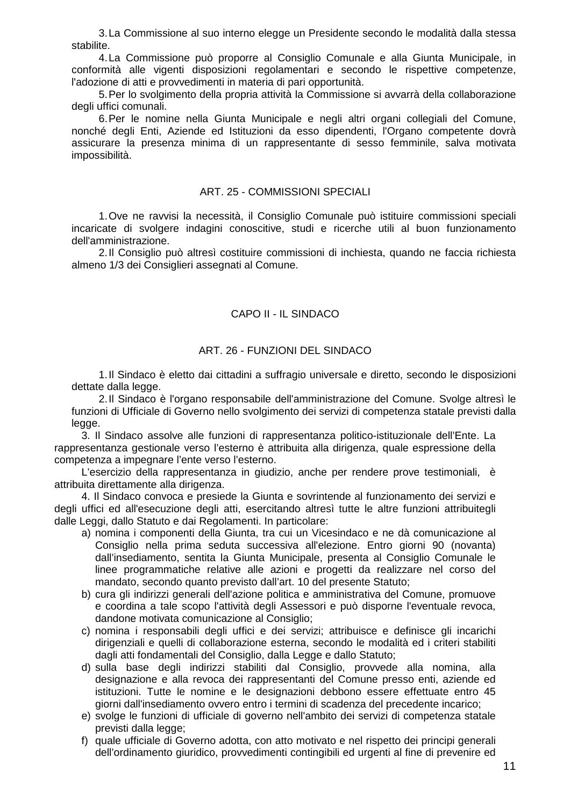3. La Commissione al suo interno elegge un Presidente secondo le modalità dalla stessa stabilite.

4. La Commissione può proporre al Consiglio Comunale e alla Giunta Municipale, in conformità alle vigenti disposizioni regolamentari e secondo le rispettive competenze, l'adozione di atti e provvedimenti in materia di pari opportunità.

5. Per lo svolgimento della propria attività la Commissione si avvarrà della collaborazione degli uffici comunali.

6. Per le nomine nella Giunta Municipale e negli altri organi collegiali del Comune, nonché degli Enti, Aziende ed Istituzioni da esso dipendenti, l'Organo competente dovrà assicurare la presenza minima di un rappresentante di sesso femminile, salva motivata impossibilità.

#### ART. 25 - COMMISSIONI SPECIALI

1. Ove ne ravvisi la necessità, il Consiglio Comunale può istituire commissioni speciali incaricate di svolgere indagini conoscitive, studi e ricerche utili al buon funzionamento dell'amministrazione.

2. Il Consiglio può altresì costituire commissioni di inchiesta, quando ne faccia richiesta almeno 1/3 dei Consiglieri assegnati al Comune.

## CAPO II - IL SINDACO

#### ART. 26 - FUNZIONI DEL SINDACO

1. Il Sindaco è eletto dai cittadini a suffragio universale e diretto, secondo le disposizioni dettate dalla legge.

2. Il Sindaco è l'organo responsabile dell'amministrazione del Comune. Svolge altresì le funzioni di Ufficiale di Governo nello svolgimento dei servizi di competenza statale previsti dalla legge.

3. Il Sindaco assolve alle funzioni di rappresentanza politico-istituzionale dell'Ente. La rappresentanza gestionale verso l'esterno è attribuita alla dirigenza, quale espressione della competenza a impegnare l'ente verso l'esterno.

L'esercizio della rappresentanza in giudizio, anche per rendere prove testimoniali, è attribuita direttamente alla dirigenza.

4. Il Sindaco convoca e presiede la Giunta e sovrintende al funzionamento dei servizi e degli uffici ed all'esecuzione degli atti, esercitando altresì tutte le altre funzioni attribuitegli dalle Leggi, dallo Statuto e dai Regolamenti. In particolare:

- a) nomina i componenti della Giunta, tra cui un Vicesindaco e ne dà comunicazione al Consiglio nella prima seduta successiva all'elezione. Entro giorni 90 (novanta) dall'insediamento, sentita la Giunta Municipale, presenta al Consiglio Comunale le linee programmatiche relative alle azioni e progetti da realizzare nel corso del mandato, secondo quanto previsto dall'art. 10 del presente Statuto;
- b) cura gli indirizzi generali dell'azione politica e amministrativa del Comune, promuove e coordina a tale scopo l'attività degli Assessori e può disporne l'eventuale revoca, dandone motivata comunicazione al Consiglio;
- c) nomina i responsabili degli uffici e dei servizi; attribuisce e definisce gli incarichi dirigenziali e quelli di collaborazione esterna, secondo le modalità ed i criteri stabiliti dagli atti fondamentali del Consiglio, dalla Legge e dallo Statuto;
- d) sulla base degli indirizzi stabiliti dal Consiglio, provvede alla nomina, alla designazione e alla revoca dei rappresentanti del Comune presso enti, aziende ed istituzioni. Tutte le nomine e le designazioni debbono essere effettuate entro 45 giorni dall'insediamento ovvero entro i termini di scadenza del precedente incarico;
- e) svolge le funzioni di ufficiale di governo nell'ambito dei servizi di competenza statale previsti dalla legge;
- f) quale ufficiale di Governo adotta, con atto motivato e nel rispetto dei principi generali dell'ordinamento giuridico, provvedimenti contingibili ed urgenti al fine di prevenire ed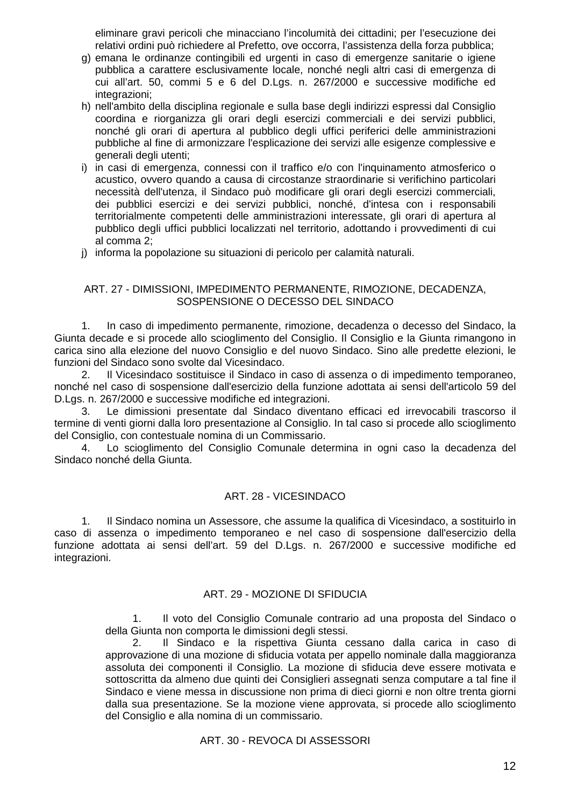eliminare gravi pericoli che minacciano l'incolumità dei cittadini; per l'esecuzione dei relativi ordini può richiedere al Prefetto, ove occorra, l'assistenza della forza pubblica;

- g) emana le ordinanze contingibili ed urgenti in caso di emergenze sanitarie o igiene pubblica a carattere esclusivamente locale, nonché negli altri casi di emergenza di cui all'art. 50, commi 5 e 6 del D.Lgs. n. 267/2000 e successive modifiche ed integrazioni:
- h) nell'ambito della disciplina regionale e sulla base degli indirizzi espressi dal Consiglio coordina e riorganizza gli orari degli esercizi commerciali e dei servizi pubblici, nonché gli orari di apertura al pubblico degli uffici periferici delle amministrazioni pubbliche al fine di armonizzare l'esplicazione dei servizi alle esigenze complessive e generali degli utenti;
- i) in casi di emergenza, connessi con il traffico e/o con l'inquinamento atmosferico o acustico, ovvero quando a causa di circostanze straordinarie si verifichino particolari necessità dell'utenza, il Sindaco può modificare gli orari degli esercizi commerciali, dei pubblici esercizi e dei servizi pubblici, nonché, d'intesa con i responsabili territorialmente competenti delle amministrazioni interessate, gli orari di apertura al pubblico degli uffici pubblici localizzati nel territorio, adottando i provvedimenti di cui al comma 2;
- j) informa la popolazione su situazioni di pericolo per calamità naturali.

# ART. 27 - DIMISSIONI, IMPEDIMENTO PERMANENTE, RIMOZIONE, DECADENZA, SOSPENSIONE O DECESSO DEL SINDACO

1. In caso di impedimento permanente, rimozione, decadenza o decesso del Sindaco, la Giunta decade e si procede allo scioglimento del Consiglio. Il Consiglio e la Giunta rimangono in carica sino alla elezione del nuovo Consiglio e del nuovo Sindaco. Sino alle predette elezioni, le funzioni del Sindaco sono svolte dal Vicesindaco.

2. Il Vicesindaco sostituisce il Sindaco in caso di assenza o di impedimento temporaneo, nonché nel caso di sospensione dall'esercizio della funzione adottata ai sensi dell'articolo 59 del D.Lgs. n. 267/2000 e successive modifiche ed integrazioni.

3. Le dimissioni presentate dal Sindaco diventano efficaci ed irrevocabili trascorso il termine di venti giorni dalla loro presentazione al Consiglio. In tal caso si procede allo scioglimento del Consiglio, con contestuale nomina di un Commissario.

4. Lo scioglimento del Consiglio Comunale determina in ogni caso la decadenza del Sindaco nonché della Giunta.

# ART. 28 - VICESINDACO

1. Il Sindaco nomina un Assessore, che assume la qualifica di Vicesindaco, a sostituirlo in caso di assenza o impedimento temporaneo e nel caso di sospensione dall'esercizio della funzione adottata ai sensi dell'art. 59 del D.Lgs. n. 267/2000 e successive modifiche ed integrazioni.

# ART. 29 - MOZIONE DI SFIDUCIA

1. Il voto del Consiglio Comunale contrario ad una proposta del Sindaco o della Giunta non comporta le dimissioni degli stessi.

2. Il Sindaco e la rispettiva Giunta cessano dalla carica in caso di approvazione di una mozione di sfiducia votata per appello nominale dalla maggioranza assoluta dei componenti il Consiglio. La mozione di sfiducia deve essere motivata e sottoscritta da almeno due quinti dei Consiglieri assegnati senza computare a tal fine il Sindaco e viene messa in discussione non prima di dieci giorni e non oltre trenta giorni dalla sua presentazione. Se la mozione viene approvata, si procede allo scioglimento del Consiglio e alla nomina di un commissario.

# ART. 30 - REVOCA DI ASSESSORI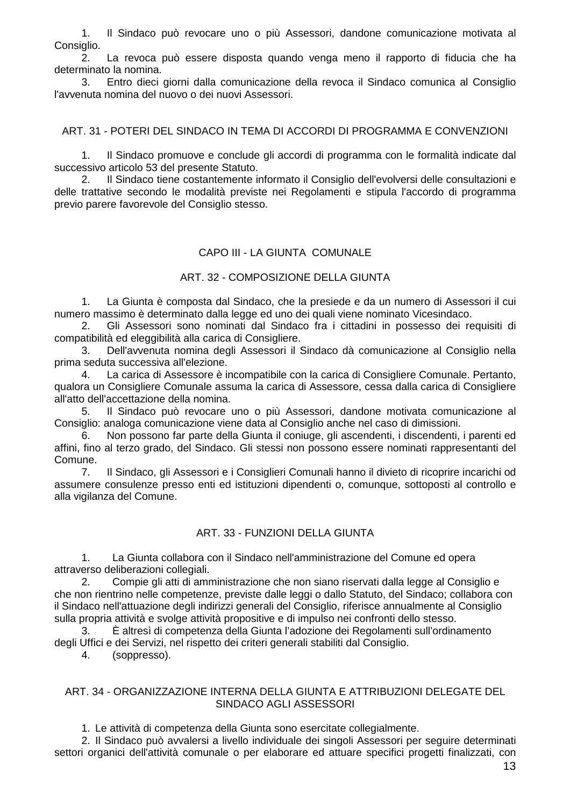1. Il Sindaco può revocare uno o più Assessori, dandone comunicazione motivata al Consiglio.

2. La revoca può essere disposta quando venga meno il rapporto di fiducia che ha determinato la nomina.

3. Entro dieci giorni dalla comunicazione della revoca il Sindaco comunica al Consiglio l'avvenuta nomina del nuovo o dei nuovi Assessori.

## ART. 31 - POTERI DEL SINDACO IN TEMA DI ACCORDI DI PROGRAMMA E CONVENZIONI

1. Il Sindaco promuove e conclude gli accordi di programma con le formalità indicate dal successivo articolo 53 del presente Statuto.

2. Il Sindaco tiene costantemente informato il Consiglio dell'evolversi delle consultazioni e delle trattative secondo le modalità previste nei Regolamenti e stipula l'accordo di programma previo parere favorevole del Consiglio stesso.

## CAPO III - LA GIUNTA COMUNALE

## ART. 32 - COMPOSIZIONE DELLA GIUNTA

1. La Giunta è composta dal Sindaco, che la presiede e da un numero di Assessori il cui numero massimo è determinato dalla legge ed uno dei quali viene nominato Vicesindaco.

2. Gli Assessori sono nominati dal Sindaco fra i cittadini in possesso dei requisiti di compatibilità ed eleggibilità alla carica di Consigliere.

3. Dell'avvenuta nomina degli Assessori il Sindaco dà comunicazione al Consiglio nella prima seduta successiva all'elezione.

4. La carica di Assessore è incompatibile con la carica di Consigliere Comunale. Pertanto, qualora un Consigliere Comunale assuma la carica di Assessore, cessa dalla carica di Consigliere all'atto dell'accettazione della nomina.

5. Il Sindaco può revocare uno o più Assessori, dandone motivata comunicazione al Consiglio: analoga comunicazione viene data al Consiglio anche nel caso di dimissioni.

6. Non possono far parte della Giunta il coniuge, gli ascendenti, i discendenti, i parenti ed affini, fino al terzo grado, del Sindaco. Gli stessi non possono essere nominati rappresentanti del Comune.

7. Il Sindaco, gli Assessori e i Consiglieri Comunali hanno il divieto di ricoprire incarichi od assumere consulenze presso enti ed istituzioni dipendenti o, comunque, sottoposti al controllo e alla vigilanza del Comune.

# ART. 33 - FUNZIONI DELLA GIUNTA

1. La Giunta collabora con il Sindaco nell'amministrazione del Comune ed opera attraverso deliberazioni collegiali.

2. Compie gli atti di amministrazione che non siano riservati dalla legge al Consiglio e che non rientrino nelle competenze, previste dalle leggi o dallo Statuto, del Sindaco; collabora con il Sindaco nell'attuazione degli indirizzi generali del Consiglio, riferisce annualmente al Consiglio sulla propria attività e svolge attività propositive e di impulso nei confronti dello stesso.

3. È altresì di competenza della Giunta l'adozione dei Regolamenti sull'ordinamento degli Uffici e dei Servizi, nel rispetto dei criteri generali stabiliti dal Consiglio.

4. (soppresso).

## ART. 34 - ORGANIZZAZIONE INTERNA DELLA GIUNTA E ATTRIBUZIONI DELEGATE DEL SINDACO AGLI ASSESSORI

1. Le attività di competenza della Giunta sono esercitate collegialmente.

2. Il Sindaco può avvalersi a livello individuale dei singoli Assessori per seguire determinati settori organici dell'attività comunale o per elaborare ed attuare specifici progetti finalizzati, con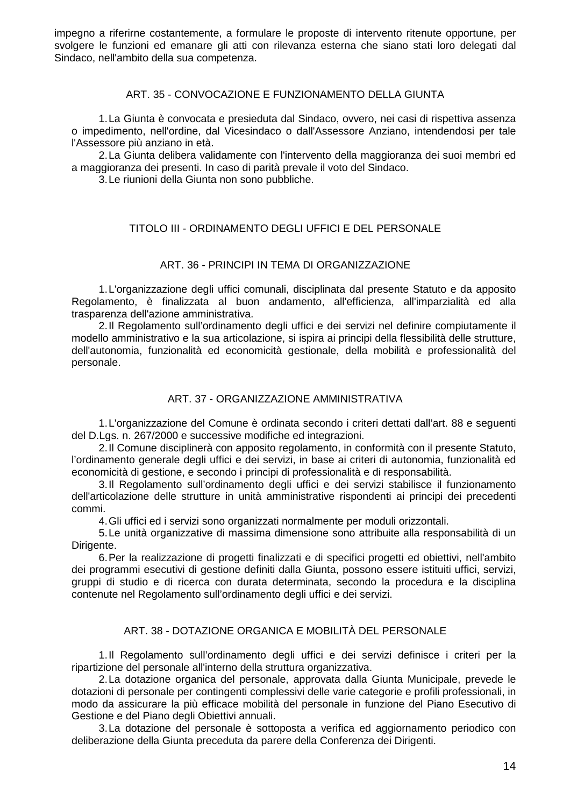impegno a riferirne costantemente, a formulare le proposte di intervento ritenute opportune, per svolgere le funzioni ed emanare gli atti con rilevanza esterna che siano stati loro delegati dal Sindaco, nell'ambito della sua competenza.

## ART. 35 - CONVOCAZIONE E FUNZIONAMENTO DELLA GIUNTA

1. La Giunta è convocata e presieduta dal Sindaco, ovvero, nei casi di rispettiva assenza o impedimento, nell'ordine, dal Vicesindaco o dall'Assessore Anziano, intendendosi per tale l'Assessore più anziano in età.

2. La Giunta delibera validamente con l'intervento della maggioranza dei suoi membri ed a maggioranza dei presenti. In caso di parità prevale il voto del Sindaco.

3. Le riunioni della Giunta non sono pubbliche.

# TITOLO III - ORDINAMENTO DEGLI UFFICI E DEL PERSONALE

## ART. 36 - PRINCIPI IN TEMA DI ORGANIZZAZIONE

1. L'organizzazione degli uffici comunali, disciplinata dal presente Statuto e da apposito Regolamento, è finalizzata al buon andamento, all'efficienza, all'imparzialità ed alla trasparenza dell'azione amministrativa.

2. Il Regolamento sull'ordinamento degli uffici e dei servizi nel definire compiutamente il modello amministrativo e la sua articolazione, si ispira ai principi della flessibilità delle strutture, dell'autonomia, funzionalità ed economicità gestionale, della mobilità e professionalità del personale.

## ART. 37 - ORGANIZZAZIONE AMMINISTRATIVA

1. L'organizzazione del Comune è ordinata secondo i criteri dettati dall'art. 88 e seguenti del D.Lgs. n. 267/2000 e successive modifiche ed integrazioni.

2. Il Comune disciplinerà con apposito regolamento, in conformità con il presente Statuto, l'ordinamento generale degli uffici e dei servizi, in base ai criteri di autonomia, funzionalità ed economicità di gestione, e secondo i principi di professionalità e di responsabilità.

3. Il Regolamento sull'ordinamento degli uffici e dei servizi stabilisce il funzionamento dell'articolazione delle strutture in unità amministrative rispondenti ai principi dei precedenti commi.

4. Gli uffici ed i servizi sono organizzati normalmente per moduli orizzontali.

5. Le unità organizzative di massima dimensione sono attribuite alla responsabilità di un Dirigente.

6. Per la realizzazione di progetti finalizzati e di specifici progetti ed obiettivi, nell'ambito dei programmi esecutivi di gestione definiti dalla Giunta, possono essere istituiti uffici, servizi, gruppi di studio e di ricerca con durata determinata, secondo la procedura e la disciplina contenute nel Regolamento sull'ordinamento degli uffici e dei servizi.

# ART. 38 - DOTAZIONE ORGANICA E MOBILITÀ DEL PERSONALE

1. Il Regolamento sull'ordinamento degli uffici e dei servizi definisce i criteri per la ripartizione del personale all'interno della struttura organizzativa.

2. La dotazione organica del personale, approvata dalla Giunta Municipale, prevede le dotazioni di personale per contingenti complessivi delle varie categorie e profili professionali, in modo da assicurare la più efficace mobilità del personale in funzione del Piano Esecutivo di Gestione e del Piano degli Obiettivi annuali.

3. La dotazione del personale è sottoposta a verifica ed aggiornamento periodico con deliberazione della Giunta preceduta da parere della Conferenza dei Dirigenti.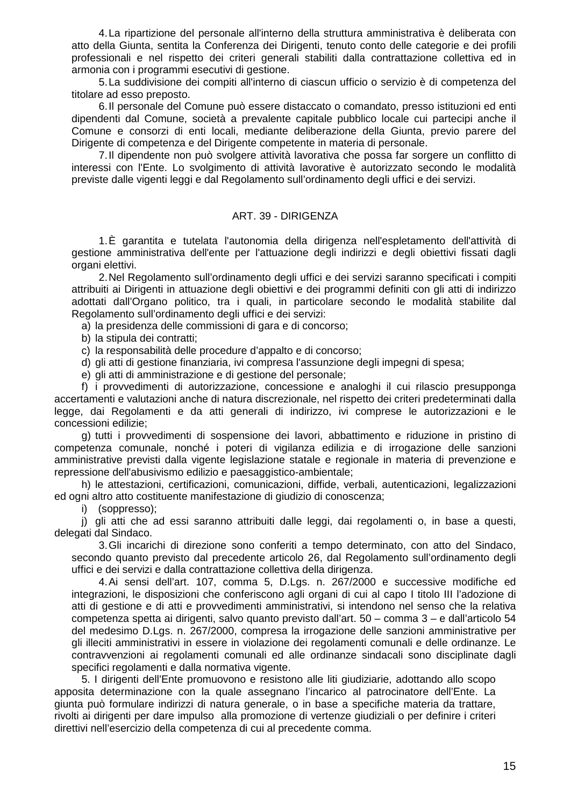4. La ripartizione del personale all'interno della struttura amministrativa è deliberata con atto della Giunta, sentita la Conferenza dei Dirigenti, tenuto conto delle categorie e dei profili professionali e nel rispetto dei criteri generali stabiliti dalla contrattazione collettiva ed in armonia con i programmi esecutivi di gestione.

5. La suddivisione dei compiti all'interno di ciascun ufficio o servizio è di competenza del titolare ad esso preposto.

6. Il personale del Comune può essere distaccato o comandato, presso istituzioni ed enti dipendenti dal Comune, società a prevalente capitale pubblico locale cui partecipi anche il Comune e consorzi di enti locali, mediante deliberazione della Giunta, previo parere del Dirigente di competenza e del Dirigente competente in materia di personale.

7. Il dipendente non può svolgere attività lavorativa che possa far sorgere un conflitto di interessi con l'Ente. Lo svolgimento di attività lavorative è autorizzato secondo le modalità previste dalle vigenti leggi e dal Regolamento sull'ordinamento degli uffici e dei servizi.

#### ART. 39 - DIRIGENZA

1. È garantita e tutelata l'autonomia della dirigenza nell'espletamento dell'attività di gestione amministrativa dell'ente per l'attuazione degli indirizzi e degli obiettivi fissati dagli organi elettivi.

2. Nel Regolamento sull'ordinamento degli uffici e dei servizi saranno specificati i compiti attribuiti ai Dirigenti in attuazione degli obiettivi e dei programmi definiti con gli atti di indirizzo adottati dall'Organo politico, tra i quali, in particolare secondo le modalità stabilite dal Regolamento sull'ordinamento degli uffici e dei servizi:

a) la presidenza delle commissioni di gara e di concorso;

b) la stipula dei contratti;

c) la responsabilità delle procedure d'appalto e di concorso;

d) gli atti di gestione finanziaria, ivi compresa l'assunzione degli impegni di spesa;

e) gli atti di amministrazione e di gestione del personale;

f) i provvedimenti di autorizzazione, concessione e analoghi il cui rilascio presupponga accertamenti e valutazioni anche di natura discrezionale, nel rispetto dei criteri predeterminati dalla legge, dai Regolamenti e da atti generali di indirizzo, ivi comprese le autorizzazioni e le concessioni edilizie;

g) tutti i provvedimenti di sospensione dei lavori, abbattimento e riduzione in pristino di competenza comunale, nonché i poteri di vigilanza edilizia e di irrogazione delle sanzioni amministrative previsti dalla vigente legislazione statale e regionale in materia di prevenzione e repressione dell'abusivismo edilizio e paesaggistico-ambientale;

h) le attestazioni, certificazioni, comunicazioni, diffide, verbali, autenticazioni, legalizzazioni ed ogni altro atto costituente manifestazione di giudizio di conoscenza;

i) (soppresso);

j) gli atti che ad essi saranno attribuiti dalle leggi, dai regolamenti o, in base a questi, delegati dal Sindaco.

3. Gli incarichi di direzione sono conferiti a tempo determinato, con atto del Sindaco, secondo quanto previsto dal precedente articolo 26, dal Regolamento sull'ordinamento degli uffici e dei servizi e dalla contrattazione collettiva della dirigenza.

4. Ai sensi dell'art. 107, comma 5, D.Lgs. n. 267/2000 e successive modifiche ed integrazioni, le disposizioni che conferiscono agli organi di cui al capo I titolo III l'adozione di atti di gestione e di atti e provvedimenti amministrativi, si intendono nel senso che la relativa competenza spetta ai dirigenti, salvo quanto previsto dall'art. 50 – comma 3 – e dall'articolo 54 del medesimo D.Lgs. n. 267/2000, compresa la irrogazione delle sanzioni amministrative per gli illeciti amministrativi in essere in violazione dei regolamenti comunali e delle ordinanze. Le contravvenzioni ai regolamenti comunali ed alle ordinanze sindacali sono disciplinate dagli specifici regolamenti e dalla normativa vigente.

5. I dirigenti dell'Ente promuovono e resistono alle liti giudiziarie, adottando allo scopo apposita determinazione con la quale assegnano l'incarico al patrocinatore dell'Ente. La giunta può formulare indirizzi di natura generale, o in base a specifiche materia da trattare, rivolti ai dirigenti per dare impulso alla promozione di vertenze giudiziali o per definire i criteri direttivi nell'esercizio della competenza di cui al precedente comma.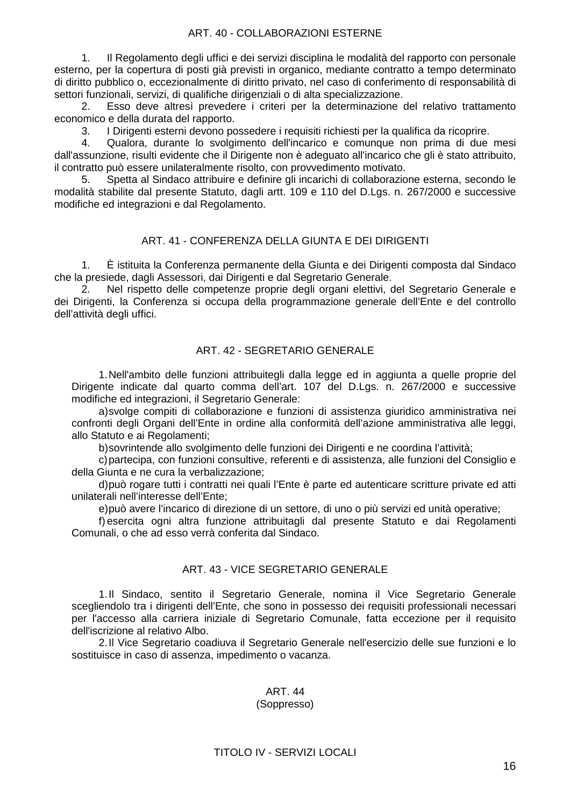## ART. 40 - COLLABORAZIONI ESTERNE

1. Il Regolamento degli uffici e dei servizi disciplina le modalità del rapporto con personale esterno, per la copertura di posti già previsti in organico, mediante contratto a tempo determinato di diritto pubblico o, eccezionalmente di diritto privato, nel caso di conferimento di responsabilità di settori funzionali, servizi, di qualifiche dirigenziali o di alta specializzazione.

2. Esso deve altresì prevedere i criteri per la determinazione del relativo trattamento economico e della durata del rapporto.

3. I Dirigenti esterni devono possedere i requisiti richiesti per la qualifica da ricoprire.

4. Qualora, durante lo svolgimento dell'incarico e comunque non prima di due mesi dall'assunzione, risulti evidente che il Dirigente non è adeguato all'incarico che gli è stato attribuito, il contratto può essere unilateralmente risolto, con provvedimento motivato.

5. Spetta al Sindaco attribuire e definire gli incarichi di collaborazione esterna, secondo le modalità stabilite dal presente Statuto, dagli artt. 109 e 110 del D.Lgs. n. 267/2000 e successive modifiche ed integrazioni e dal Regolamento.

# ART. 41 - CONFERENZA DELLA GIUNTA E DEI DIRIGENTI

1. È istituita la Conferenza permanente della Giunta e dei Dirigenti composta dal Sindaco che la presiede, dagli Assessori, dai Dirigenti e dal Segretario Generale.

2. Nel rispetto delle competenze proprie degli organi elettivi, del Segretario Generale e dei Dirigenti, la Conferenza si occupa della programmazione generale dell'Ente e del controllo dell'attività degli uffici.

# ART. 42 - SEGRETARIO GENERALE

1. Nell'ambito delle funzioni attribuitegli dalla legge ed in aggiunta a quelle proprie del Dirigente indicate dal quarto comma dell'art. 107 del D.Lgs. n. 267/2000 e successive modifiche ed integrazioni, il Segretario Generale:

a) svolge compiti di collaborazione e funzioni di assistenza giuridico amministrativa nei confronti degli Organi dell'Ente in ordine alla conformità dell'azione amministrativa alle leggi, allo Statuto e ai Regolamenti;

b) sovrintende allo svolgimento delle funzioni dei Dirigenti e ne coordina l'attività;

c) partecipa, con funzioni consultive, referenti e di assistenza, alle funzioni del Consiglio e della Giunta e ne cura la verbalizzazione;

d) può rogare tutti i contratti nei quali l'Ente è parte ed autenticare scritture private ed atti unilaterali nell'interesse dell'Ente;

e) può avere l'incarico di direzione di un settore, di uno o più servizi ed unità operative;

f) esercita ogni altra funzione attribuitagli dal presente Statuto e dai Regolamenti Comunali, o che ad esso verrà conferita dal Sindaco.

# ART. 43 - VICE SEGRETARIO GENERALE

1. Il Sindaco, sentito il Segretario Generale, nomina il Vice Segretario Generale scegliendolo tra i dirigenti dell'Ente, che sono in possesso dei requisiti professionali necessari per l'accesso alla carriera iniziale di Segretario Comunale, fatta eccezione per il requisito dell'iscrizione al relativo Albo.

2. Il Vice Segretario coadiuva il Segretario Generale nell'esercizio delle sue funzioni e lo sostituisce in caso di assenza, impedimento o vacanza.

#### ART. 44 (Soppresso)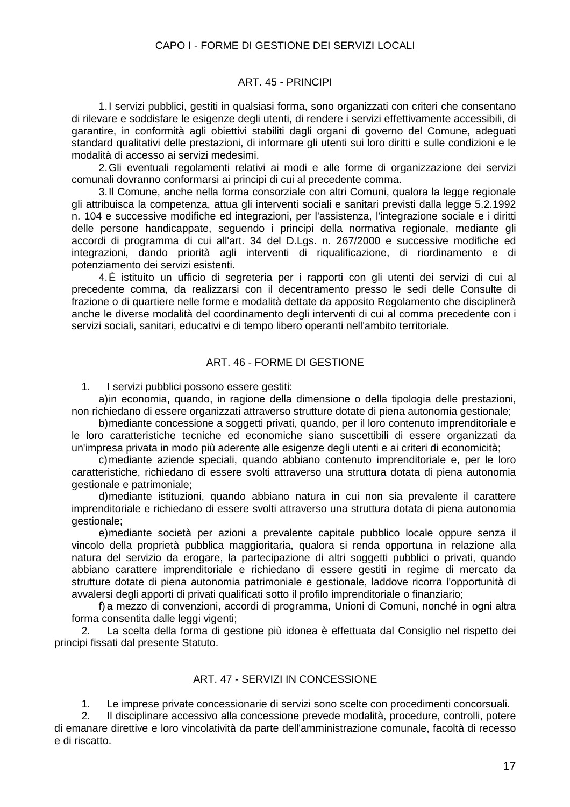## CAPO I - FORME DI GESTIONE DEI SERVIZI LOCALI

#### ART. 45 - PRINCIPI

1. I servizi pubblici, gestiti in qualsiasi forma, sono organizzati con criteri che consentano di rilevare e soddisfare le esigenze degli utenti, di rendere i servizi effettivamente accessibili, di garantire, in conformità agli obiettivi stabiliti dagli organi di governo del Comune, adeguati standard qualitativi delle prestazioni, di informare gli utenti sui loro diritti e sulle condizioni e le modalità di accesso ai servizi medesimi.

2. Gli eventuali regolamenti relativi ai modi e alle forme di organizzazione dei servizi comunali dovranno conformarsi ai principi di cui al precedente comma.

3. Il Comune, anche nella forma consorziale con altri Comuni, qualora la legge regionale gli attribuisca la competenza, attua gli interventi sociali e sanitari previsti dalla legge 5.2.1992 n. 104 e successive modifiche ed integrazioni, per l'assistenza, l'integrazione sociale e i diritti delle persone handicappate, seguendo i principi della normativa regionale, mediante gli accordi di programma di cui all'art. 34 del D.Lgs. n. 267/2000 e successive modifiche ed integrazioni, dando priorità agli interventi di riqualificazione, di riordinamento e di potenziamento dei servizi esistenti.

4. È istituito un ufficio di segreteria per i rapporti con gli utenti dei servizi di cui al precedente comma, da realizzarsi con il decentramento presso le sedi delle Consulte di frazione o di quartiere nelle forme e modalità dettate da apposito Regolamento che disciplinerà anche le diverse modalità del coordinamento degli interventi di cui al comma precedente con i servizi sociali, sanitari, educativi e di tempo libero operanti nell'ambito territoriale.

# ART. 46 - FORME DI GESTIONE

1. I servizi pubblici possono essere gestiti:

a) in economia, quando, in ragione della dimensione o della tipologia delle prestazioni, non richiedano di essere organizzati attraverso strutture dotate di piena autonomia gestionale;

b) mediante concessione a soggetti privati, quando, per il loro contenuto imprenditoriale e le loro caratteristiche tecniche ed economiche siano suscettibili di essere organizzati da un'impresa privata in modo più aderente alle esigenze degli utenti e ai criteri di economicità;

c) mediante aziende speciali, quando abbiano contenuto imprenditoriale e, per le loro caratteristiche, richiedano di essere svolti attraverso una struttura dotata di piena autonomia gestionale e patrimoniale;

d) mediante istituzioni, quando abbiano natura in cui non sia prevalente il carattere imprenditoriale e richiedano di essere svolti attraverso una struttura dotata di piena autonomia gestionale;

e) mediante società per azioni a prevalente capitale pubblico locale oppure senza il vincolo della proprietà pubblica maggioritaria, qualora si renda opportuna in relazione alla natura del servizio da erogare, la partecipazione di altri soggetti pubblici o privati, quando abbiano carattere imprenditoriale e richiedano di essere gestiti in regime di mercato da strutture dotate di piena autonomia patrimoniale e gestionale, laddove ricorra l'opportunità di avvalersi degli apporti di privati qualificati sotto il profilo imprenditoriale o finanziario;

f) a mezzo di convenzioni, accordi di programma, Unioni di Comuni, nonché in ogni altra forma consentita dalle leggi vigenti:

2. La scelta della forma di gestione più idonea è effettuata dal Consiglio nel rispetto dei principi fissati dal presente Statuto.

#### ART. 47 - SERVIZI IN CONCESSIONE

1. Le imprese private concessionarie di servizi sono scelte con procedimenti concorsuali.

2. Il disciplinare accessivo alla concessione prevede modalità, procedure, controlli, potere di emanare direttive e loro vincolatività da parte dell'amministrazione comunale, facoltà di recesso e di riscatto.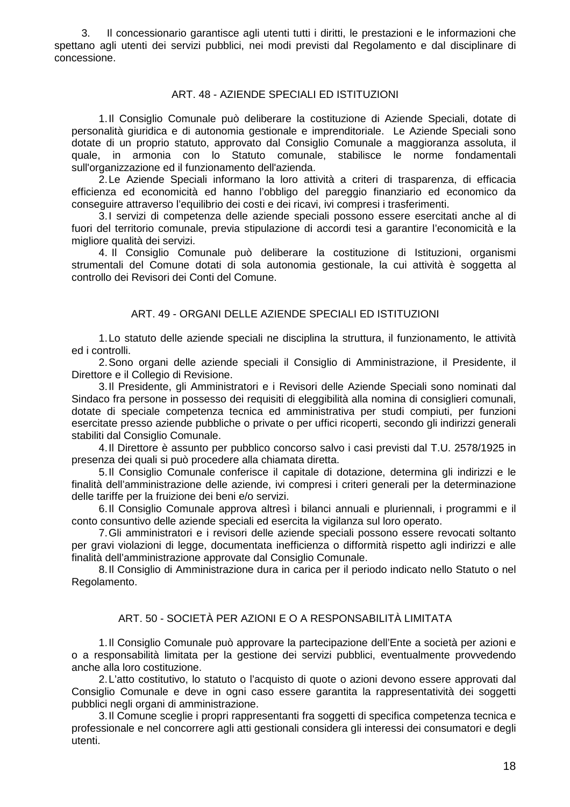3. Il concessionario garantisce agli utenti tutti i diritti, le prestazioni e le informazioni che spettano agli utenti dei servizi pubblici, nei modi previsti dal Regolamento e dal disciplinare di concessione.

## ART. 48 - AZIENDE SPECIALI ED ISTITUZIONI

1. Il Consiglio Comunale può deliberare la costituzione di Aziende Speciali, dotate di personalità giuridica e di autonomia gestionale e imprenditoriale. Le Aziende Speciali sono dotate di un proprio statuto, approvato dal Consiglio Comunale a maggioranza assoluta, il quale, in armonia con lo Statuto comunale, stabilisce le norme fondamentali sull'organizzazione ed il funzionamento dell'azienda.

2. Le Aziende Speciali informano la loro attività a criteri di trasparenza, di efficacia efficienza ed economicità ed hanno l'obbligo del pareggio finanziario ed economico da conseguire attraverso l'equilibrio dei costi e dei ricavi, ivi compresi i trasferimenti.

3. I servizi di competenza delle aziende speciali possono essere esercitati anche al di fuori del territorio comunale, previa stipulazione di accordi tesi a garantire l'economicità e la migliore qualità dei servizi.

4. Il Consiglio Comunale può deliberare la costituzione di Istituzioni, organismi strumentali del Comune dotati di sola autonomia gestionale, la cui attività è soggetta al controllo dei Revisori dei Conti del Comune.

# ART. 49 - ORGANI DELLE AZIENDE SPECIALI ED ISTITUZIONI

1. Lo statuto delle aziende speciali ne disciplina la struttura, il funzionamento, le attività ed i controlli.

2. Sono organi delle aziende speciali il Consiglio di Amministrazione, il Presidente, il Direttore e il Collegio di Revisione.

3. Il Presidente, gli Amministratori e i Revisori delle Aziende Speciali sono nominati dal Sindaco fra persone in possesso dei requisiti di eleggibilità alla nomina di consiglieri comunali, dotate di speciale competenza tecnica ed amministrativa per studi compiuti, per funzioni esercitate presso aziende pubbliche o private o per uffici ricoperti, secondo gli indirizzi generali stabiliti dal Consiglio Comunale.

4. Il Direttore è assunto per pubblico concorso salvo i casi previsti dal T.U. 2578/1925 in presenza dei quali si può procedere alla chiamata diretta.

5. Il Consiglio Comunale conferisce il capitale di dotazione, determina gli indirizzi e le finalità dell'amministrazione delle aziende, ivi compresi i criteri generali per la determinazione delle tariffe per la fruizione dei beni e/o servizi.

6. Il Consiglio Comunale approva altresì i bilanci annuali e pluriennali, i programmi e il conto consuntivo delle aziende speciali ed esercita la vigilanza sul loro operato.

7. Gli amministratori e i revisori delle aziende speciali possono essere revocati soltanto per gravi violazioni di legge, documentata inefficienza o difformità rispetto agli indirizzi e alle finalità dell'amministrazione approvate dal Consiglio Comunale.

8. Il Consiglio di Amministrazione dura in carica per il periodo indicato nello Statuto o nel Regolamento.

## ART. 50 - SOCIETÀ PER AZIONI E O A RESPONSABILITÀ LIMITATA

1. Il Consiglio Comunale può approvare la partecipazione dell'Ente a società per azioni e o a responsabilità limitata per la gestione dei servizi pubblici, eventualmente provvedendo anche alla loro costituzione.

2. L'atto costitutivo, lo statuto o l'acquisto di quote o azioni devono essere approvati dal Consiglio Comunale e deve in ogni caso essere garantita la rappresentatività dei soggetti pubblici negli organi di amministrazione.

3. Il Comune sceglie i propri rappresentanti fra soggetti di specifica competenza tecnica e professionale e nel concorrere agli atti gestionali considera gli interessi dei consumatori e degli utenti.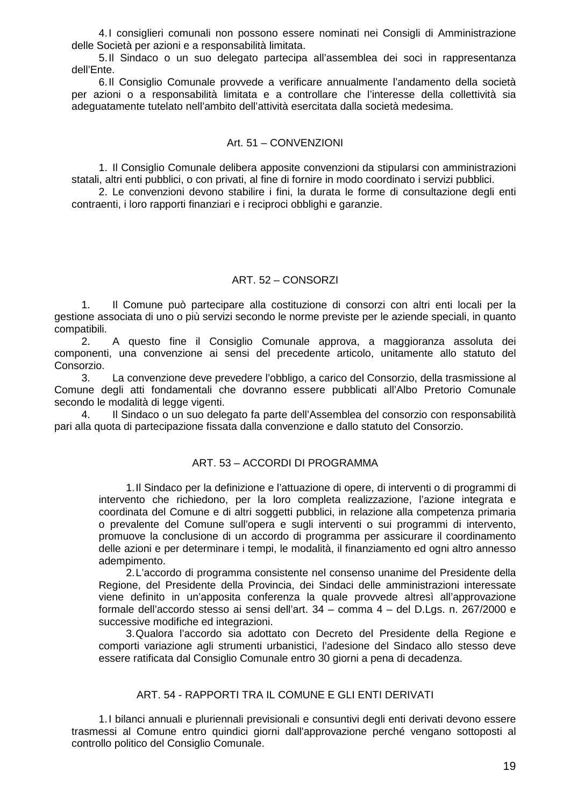4. I consiglieri comunali non possono essere nominati nei Consigli di Amministrazione delle Società per azioni e a responsabilità limitata.

5. Il Sindaco o un suo delegato partecipa all'assemblea dei soci in rappresentanza dell'Ente.

6. Il Consiglio Comunale provvede a verificare annualmente l'andamento della società per azioni o a responsabilità limitata e a controllare che l'interesse della collettività sia adeguatamente tutelato nell'ambito dell'attività esercitata dalla società medesima.

#### Art. 51 – CONVENZIONI

1. Il Consiglio Comunale delibera apposite convenzioni da stipularsi con amministrazioni statali, altri enti pubblici, o con privati, al fine di fornire in modo coordinato i servizi pubblici.

2. Le convenzioni devono stabilire i fini, la durata le forme di consultazione degli enti contraenti, i loro rapporti finanziari e i reciproci obblighi e garanzie.

#### ART. 52 – CONSORZI

1. Il Comune può partecipare alla costituzione di consorzi con altri enti locali per la gestione associata di uno o più servizi secondo le norme previste per le aziende speciali, in quanto compatibili.

2. A questo fine il Consiglio Comunale approva, a maggioranza assoluta dei componenti, una convenzione ai sensi del precedente articolo, unitamente allo statuto del Consorzio.

3. La convenzione deve prevedere l'obbligo, a carico del Consorzio, della trasmissione al Comune degli atti fondamentali che dovranno essere pubblicati all'Albo Pretorio Comunale secondo le modalità di legge vigenti.

4. Il Sindaco o un suo delegato fa parte dell'Assemblea del consorzio con responsabilità pari alla quota di partecipazione fissata dalla convenzione e dallo statuto del Consorzio.

#### ART. 53 – ACCORDI DI PROGRAMMA

1. Il Sindaco per la definizione e l'attuazione di opere, di interventi o di programmi di intervento che richiedono, per la loro completa realizzazione, l'azione integrata e coordinata del Comune e di altri soggetti pubblici, in relazione alla competenza primaria o prevalente del Comune sull'opera e sugli interventi o sui programmi di intervento, promuove la conclusione di un accordo di programma per assicurare il coordinamento delle azioni e per determinare i tempi, le modalità, il finanziamento ed ogni altro annesso adempimento.

2. L'accordo di programma consistente nel consenso unanime del Presidente della Regione, del Presidente della Provincia, dei Sindaci delle amministrazioni interessate viene definito in un'apposita conferenza la quale provvede altresì all'approvazione formale dell'accordo stesso ai sensi dell'art. 34 – comma 4 – del D.Lgs. n. 267/2000 e successive modifiche ed integrazioni.

3. Qualora l'accordo sia adottato con Decreto del Presidente della Regione e comporti variazione agli strumenti urbanistici, l'adesione del Sindaco allo stesso deve essere ratificata dal Consiglio Comunale entro 30 giorni a pena di decadenza.

#### ART. 54 - RAPPORTI TRA IL COMUNE E GLI ENTI DERIVATI

1. I bilanci annuali e pluriennali previsionali e consuntivi degli enti derivati devono essere trasmessi al Comune entro quindici giorni dall'approvazione perché vengano sottoposti al controllo politico del Consiglio Comunale.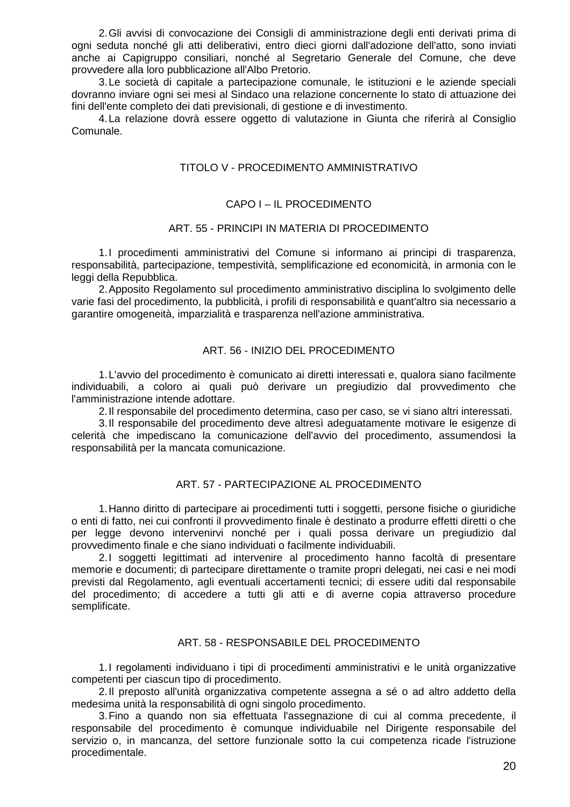2. Gli avvisi di convocazione dei Consigli di amministrazione degli enti derivati prima di ogni seduta nonché gli atti deliberativi, entro dieci giorni dall'adozione dell'atto, sono inviati anche ai Capigruppo consiliari, nonché al Segretario Generale del Comune, che deve provvedere alla loro pubblicazione all'Albo Pretorio.

3. Le società di capitale a partecipazione comunale, le istituzioni e le aziende speciali dovranno inviare ogni sei mesi al Sindaco una relazione concernente lo stato di attuazione dei fini dell'ente completo dei dati previsionali, di gestione e di investimento.

4. La relazione dovrà essere oggetto di valutazione in Giunta che riferirà al Consiglio Comunale.

## TITOLO V - PROCEDIMENTO AMMINISTRATIVO

#### CAPO I – IL PROCEDIMENTO

#### ART. 55 - PRINCIPI IN MATERIA DI PROCEDIMENTO

1. I procedimenti amministrativi del Comune si informano ai principi di trasparenza, responsabilità, partecipazione, tempestività, semplificazione ed economicità, in armonia con le leggi della Repubblica.

2. Apposito Regolamento sul procedimento amministrativo disciplina lo svolgimento delle varie fasi del procedimento, la pubblicità, i profili di responsabilità e quant'altro sia necessario a garantire omogeneità, imparzialità e trasparenza nell'azione amministrativa.

#### ART. 56 - INIZIO DEL PROCEDIMENTO

1. L'avvio del procedimento è comunicato ai diretti interessati e, qualora siano facilmente individuabili, a coloro ai quali può derivare un pregiudizio dal provvedimento che l'amministrazione intende adottare.

2. Il responsabile del procedimento determina, caso per caso, se vi siano altri interessati.

3. Il responsabile del procedimento deve altresì adeguatamente motivare le esigenze di celerità che impediscano la comunicazione dell'avvio del procedimento, assumendosi la responsabilità per la mancata comunicazione.

#### ART. 57 - PARTECIPAZIONE AL PROCEDIMENTO

1. Hanno diritto di partecipare ai procedimenti tutti i soggetti, persone fisiche o giuridiche o enti di fatto, nei cui confronti il provvedimento finale è destinato a produrre effetti diretti o che per legge devono intervenirvi nonché per i quali possa derivare un pregiudizio dal provvedimento finale e che siano individuati o facilmente individuabili.

2. I soggetti legittimati ad intervenire al procedimento hanno facoltà di presentare memorie e documenti; di partecipare direttamente o tramite propri delegati, nei casi e nei modi previsti dal Regolamento, agli eventuali accertamenti tecnici; di essere uditi dal responsabile del procedimento; di accedere a tutti gli atti e di averne copia attraverso procedure semplificate.

#### ART. 58 - RESPONSABILE DEL PROCEDIMENTO

1. I regolamenti individuano i tipi di procedimenti amministrativi e le unità organizzative competenti per ciascun tipo di procedimento.

2. Il preposto all'unità organizzativa competente assegna a sé o ad altro addetto della medesima unità la responsabilità di ogni singolo procedimento.

3. Fino a quando non sia effettuata l'assegnazione di cui al comma precedente, il responsabile del procedimento è comunque individuabile nel Dirigente responsabile del servizio o, in mancanza, del settore funzionale sotto la cui competenza ricade l'istruzione procedimentale.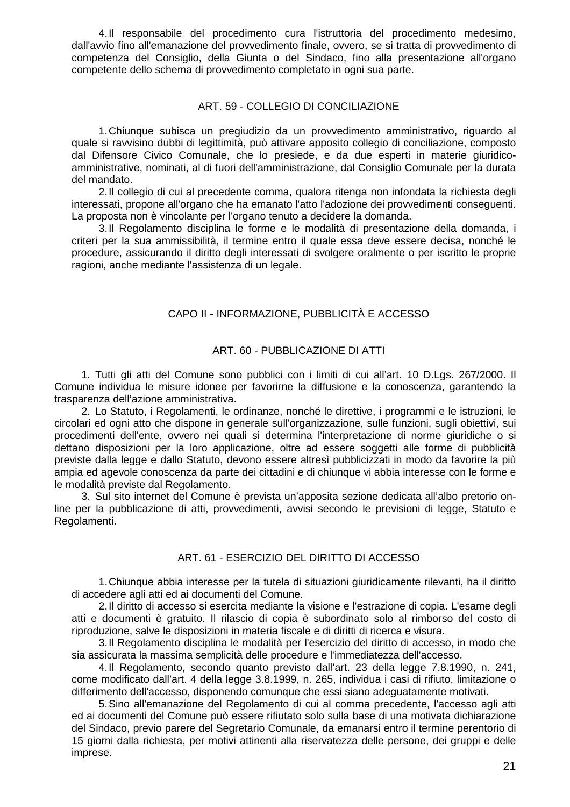4. Il responsabile del procedimento cura l'istruttoria del procedimento medesimo, dall'avvio fino all'emanazione del provvedimento finale, ovvero, se si tratta di provvedimento di competenza del Consiglio, della Giunta o del Sindaco, fino alla presentazione all'organo competente dello schema di provvedimento completato in ogni sua parte.

# ART. 59 - COLLEGIO DI CONCILIAZIONE

1. Chiunque subisca un pregiudizio da un provvedimento amministrativo, riguardo al quale si ravvisino dubbi di legittimità, può attivare apposito collegio di conciliazione, composto dal Difensore Civico Comunale, che lo presiede, e da due esperti in materie giuridicoamministrative, nominati, al di fuori dell'amministrazione, dal Consiglio Comunale per la durata del mandato.

2. Il collegio di cui al precedente comma, qualora ritenga non infondata la richiesta degli interessati, propone all'organo che ha emanato l'atto l'adozione dei provvedimenti conseguenti. La proposta non è vincolante per l'organo tenuto a decidere la domanda.

3. Il Regolamento disciplina le forme e le modalità di presentazione della domanda, i criteri per la sua ammissibilità, il termine entro il quale essa deve essere decisa, nonché le procedure, assicurando il diritto degli interessati di svolgere oralmente o per iscritto le proprie ragioni, anche mediante l'assistenza di un legale.

# CAPO II - INFORMAZIONE, PUBBLICITÀ E ACCESSO

## ART. 60 - PUBBLICAZIONE DI ATTI

1. Tutti gli atti del Comune sono pubblici con i limiti di cui all'art. 10 D.Lgs. 267/2000. Il Comune individua le misure idonee per favorirne la diffusione e la conoscenza, garantendo la trasparenza dell'azione amministrativa.

2. Lo Statuto, i Regolamenti, le ordinanze, nonché le direttive, i programmi e le istruzioni, le circolari ed ogni atto che dispone in generale sull'organizzazione, sulle funzioni, sugli obiettivi, sui procedimenti dell'ente, ovvero nei quali si determina l'interpretazione di norme giuridiche o si dettano disposizioni per la loro applicazione, oltre ad essere soggetti alle forme di pubblicità previste dalla legge e dallo Statuto, devono essere altresì pubblicizzati in modo da favorire la più ampia ed agevole conoscenza da parte dei cittadini e di chiunque vi abbia interesse con le forme e le modalità previste dal Regolamento.

3. Sul sito internet del Comune è prevista un'apposita sezione dedicata all'albo pretorio online per la pubblicazione di atti, provvedimenti, avvisi secondo le previsioni di legge, Statuto e Regolamenti.

# ART. 61 - ESERCIZIO DEL DIRITTO DI ACCESSO

1. Chiunque abbia interesse per la tutela di situazioni giuridicamente rilevanti, ha il diritto di accedere agli atti ed ai documenti del Comune.

2. Il diritto di accesso si esercita mediante la visione e l'estrazione di copia. L'esame degli atti e documenti è gratuito. Il rilascio di copia è subordinato solo al rimborso del costo di riproduzione, salve le disposizioni in materia fiscale e di diritti di ricerca e visura.

3. Il Regolamento disciplina le modalità per l'esercizio del diritto di accesso, in modo che sia assicurata la massima semplicità delle procedure e l'immediatezza dell'accesso.

4. Il Regolamento, secondo quanto previsto dall'art. 23 della legge 7.8.1990, n. 241, come modificato dall'art. 4 della legge 3.8.1999, n. 265, individua i casi di rifiuto, limitazione o differimento dell'accesso, disponendo comunque che essi siano adeguatamente motivati.

5. Sino all'emanazione del Regolamento di cui al comma precedente, l'accesso agli atti ed ai documenti del Comune può essere rifiutato solo sulla base di una motivata dichiarazione del Sindaco, previo parere del Segretario Comunale, da emanarsi entro il termine perentorio di 15 giorni dalla richiesta, per motivi attinenti alla riservatezza delle persone, dei gruppi e delle imprese.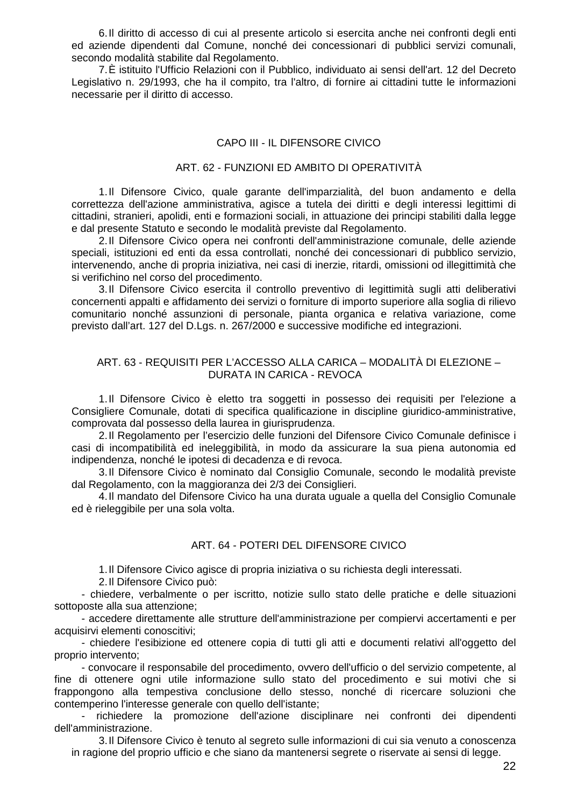6. Il diritto di accesso di cui al presente articolo si esercita anche nei confronti degli enti ed aziende dipendenti dal Comune, nonché dei concessionari di pubblici servizi comunali, secondo modalità stabilite dal Regolamento.

7. È istituito l'Ufficio Relazioni con il Pubblico, individuato ai sensi dell'art. 12 del Decreto Legislativo n. 29/1993, che ha il compito, tra l'altro, di fornire ai cittadini tutte le informazioni necessarie per il diritto di accesso.

## CAPO III - IL DIFENSORE CIVICO

## ART. 62 - FUNZIONI ED AMBITO DI OPERATIVITÀ

1. Il Difensore Civico, quale garante dell'imparzialità, del buon andamento e della correttezza dell'azione amministrativa, agisce a tutela dei diritti e degli interessi legittimi di cittadini, stranieri, apolidi, enti e formazioni sociali, in attuazione dei principi stabiliti dalla legge e dal presente Statuto e secondo le modalità previste dal Regolamento.

2. Il Difensore Civico opera nei confronti dell'amministrazione comunale, delle aziende speciali, istituzioni ed enti da essa controllati, nonché dei concessionari di pubblico servizio, intervenendo, anche di propria iniziativa, nei casi di inerzie, ritardi, omissioni od illegittimità che si verifichino nel corso del procedimento.

3. Il Difensore Civico esercita il controllo preventivo di legittimità sugli atti deliberativi concernenti appalti e affidamento dei servizi o forniture di importo superiore alla soglia di rilievo comunitario nonché assunzioni di personale, pianta organica e relativa variazione, come previsto dall'art. 127 del D.Lgs. n. 267/2000 e successive modifiche ed integrazioni.

## ART. 63 - REQUISITI PER L'ACCESSO ALLA CARICA – MODALITÀ DI ELEZIONE – DURATA IN CARICA - REVOCA

1. Il Difensore Civico è eletto tra soggetti in possesso dei requisiti per l'elezione a Consigliere Comunale, dotati di specifica qualificazione in discipline giuridico-amministrative, comprovata dal possesso della laurea in giurisprudenza.

2. Il Regolamento per l'esercizio delle funzioni del Difensore Civico Comunale definisce i casi di incompatibilità ed ineleggibilità, in modo da assicurare la sua piena autonomia ed indipendenza, nonché le ipotesi di decadenza e di revoca.

3. Il Difensore Civico è nominato dal Consiglio Comunale, secondo le modalità previste dal Regolamento, con la maggioranza dei 2/3 dei Consiglieri.

4. Il mandato del Difensore Civico ha una durata uguale a quella del Consiglio Comunale ed è rieleggibile per una sola volta.

# ART. 64 - POTERI DEL DIFENSORE CIVICO

1. Il Difensore Civico agisce di propria iniziativa o su richiesta degli interessati.

2. Il Difensore Civico può:

- chiedere, verbalmente o per iscritto, notizie sullo stato delle pratiche e delle situazioni sottoposte alla sua attenzione;

- accedere direttamente alle strutture dell'amministrazione per compiervi accertamenti e per acquisirvi elementi conoscitivi;

- chiedere l'esibizione ed ottenere copia di tutti gli atti e documenti relativi all'oggetto del proprio intervento;

- convocare il responsabile del procedimento, ovvero dell'ufficio o del servizio competente, al fine di ottenere ogni utile informazione sullo stato del procedimento e sui motivi che si frappongono alla tempestiva conclusione dello stesso, nonché di ricercare soluzioni che contemperino l'interesse generale con quello dell'istante;

richiedere la promozione dell'azione disciplinare nei confronti dei dipendenti dell'amministrazione.

3. Il Difensore Civico è tenuto al segreto sulle informazioni di cui sia venuto a conoscenza in ragione del proprio ufficio e che siano da mantenersi segrete o riservate ai sensi di legge.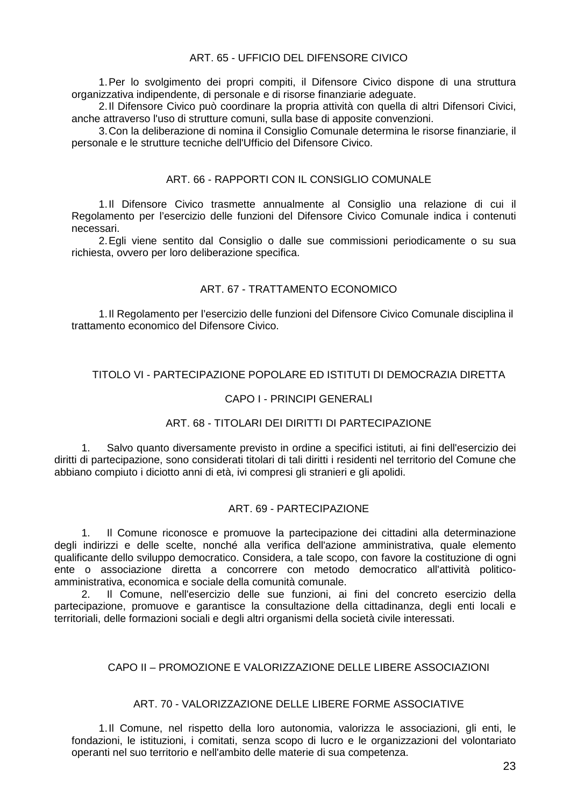# ART. 65 - UFFICIO DEL DIFENSORE CIVICO

1. Per lo svolgimento dei propri compiti, il Difensore Civico dispone di una struttura organizzativa indipendente, di personale e di risorse finanziarie adeguate.

2. Il Difensore Civico può coordinare la propria attività con quella di altri Difensori Civici, anche attraverso l'uso di strutture comuni, sulla base di apposite convenzioni.

3. Con la deliberazione di nomina il Consiglio Comunale determina le risorse finanziarie, il personale e le strutture tecniche dell'Ufficio del Difensore Civico.

## ART. 66 - RAPPORTI CON IL CONSIGLIO COMUNALE

1. Il Difensore Civico trasmette annualmente al Consiglio una relazione di cui il Regolamento per l'esercizio delle funzioni del Difensore Civico Comunale indica i contenuti necessari.

2. Egli viene sentito dal Consiglio o dalle sue commissioni periodicamente o su sua richiesta, ovvero per loro deliberazione specifica.

# ART. 67 - TRATTAMENTO ECONOMICO

1. Il Regolamento per l'esercizio delle funzioni del Difensore Civico Comunale disciplina il trattamento economico del Difensore Civico.

# TITOLO VI - PARTECIPAZIONE POPOLARE ED ISTITUTI DI DEMOCRAZIA DIRETTA

#### CAPO I - PRINCIPI GENERALI

# ART. 68 - TITOLARI DEI DIRITTI DI PARTECIPAZIONE

1. Salvo quanto diversamente previsto in ordine a specifici istituti, ai fini dell'esercizio dei diritti di partecipazione, sono considerati titolari di tali diritti i residenti nel territorio del Comune che abbiano compiuto i diciotto anni di età, ivi compresi gli stranieri e gli apolidi.

#### ART. 69 - PARTECIPAZIONE

1. Il Comune riconosce e promuove la partecipazione dei cittadini alla determinazione degli indirizzi e delle scelte, nonché alla verifica dell'azione amministrativa, quale elemento qualificante dello sviluppo democratico. Considera, a tale scopo, con favore la costituzione di ogni ente o associazione diretta a concorrere con metodo democratico all'attività politicoamministrativa, economica e sociale della comunità comunale.

2. Il Comune, nell'esercizio delle sue funzioni, ai fini del concreto esercizio della partecipazione, promuove e garantisce la consultazione della cittadinanza, degli enti locali e territoriali, delle formazioni sociali e degli altri organismi della società civile interessati.

## CAPO II – PROMOZIONE E VALORIZZAZIONE DELLE LIBERE ASSOCIAZIONI

## ART. 70 - VALORIZZAZIONE DELLE LIBERE FORME ASSOCIATIVE

1. Il Comune, nel rispetto della loro autonomia, valorizza le associazioni, gli enti, le fondazioni, le istituzioni, i comitati, senza scopo di lucro e le organizzazioni del volontariato operanti nel suo territorio e nell'ambito delle materie di sua competenza.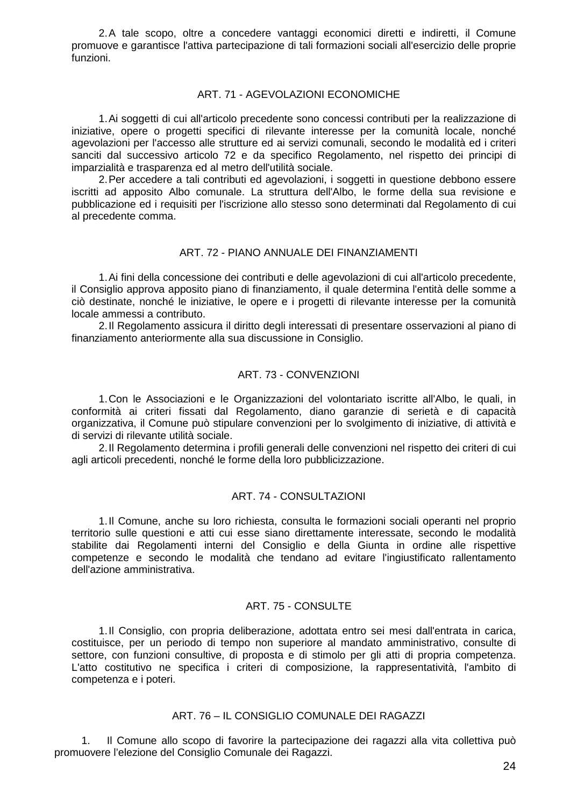2. A tale scopo, oltre a concedere vantaggi economici diretti e indiretti, il Comune promuove e garantisce l'attiva partecipazione di tali formazioni sociali all'esercizio delle proprie funzioni.

#### ART. 71 - AGEVOLAZIONI ECONOMICHE

1. Ai soggetti di cui all'articolo precedente sono concessi contributi per la realizzazione di iniziative, opere o progetti specifici di rilevante interesse per la comunità locale, nonché agevolazioni per l'accesso alle strutture ed ai servizi comunali, secondo le modalità ed i criteri sanciti dal successivo articolo 72 e da specifico Regolamento, nel rispetto dei principi di imparzialità e trasparenza ed al metro dell'utilità sociale.

2. Per accedere a tali contributi ed agevolazioni, i soggetti in questione debbono essere iscritti ad apposito Albo comunale. La struttura dell'Albo, le forme della sua revisione e pubblicazione ed i requisiti per l'iscrizione allo stesso sono determinati dal Regolamento di cui al precedente comma.

## ART. 72 - PIANO ANNUALE DEI FINANZIAMENTI

1. Ai fini della concessione dei contributi e delle agevolazioni di cui all'articolo precedente, il Consiglio approva apposito piano di finanziamento, il quale determina l'entità delle somme a ciò destinate, nonché le iniziative, le opere e i progetti di rilevante interesse per la comunità locale ammessi a contributo.

2. Il Regolamento assicura il diritto degli interessati di presentare osservazioni al piano di finanziamento anteriormente alla sua discussione in Consiglio.

# ART. 73 - CONVENZIONI

1. Con le Associazioni e le Organizzazioni del volontariato iscritte all'Albo, le quali, in conformità ai criteri fissati dal Regolamento, diano garanzie di serietà e di capacità organizzativa, il Comune può stipulare convenzioni per lo svolgimento di iniziative, di attività e di servizi di rilevante utilità sociale.

2. Il Regolamento determina i profili generali delle convenzioni nel rispetto dei criteri di cui agli articoli precedenti, nonché le forme della loro pubblicizzazione.

#### ART. 74 - CONSULTAZIONI

1. Il Comune, anche su loro richiesta, consulta le formazioni sociali operanti nel proprio territorio sulle questioni e atti cui esse siano direttamente interessate, secondo le modalità stabilite dai Regolamenti interni del Consiglio e della Giunta in ordine alle rispettive competenze e secondo le modalità che tendano ad evitare l'ingiustificato rallentamento dell'azione amministrativa.

## ART. 75 - CONSULTE

1. Il Consiglio, con propria deliberazione, adottata entro sei mesi dall'entrata in carica, costituisce, per un periodo di tempo non superiore al mandato amministrativo, consulte di settore, con funzioni consultive, di proposta e di stimolo per gli atti di propria competenza. L'atto costitutivo ne specifica i criteri di composizione, la rappresentatività, l'ambito di competenza e i poteri.

#### ART. 76 – IL CONSIGLIO COMUNALE DEI RAGAZZI

1. Il Comune allo scopo di favorire la partecipazione dei ragazzi alla vita collettiva può promuovere l'elezione del Consiglio Comunale dei Ragazzi.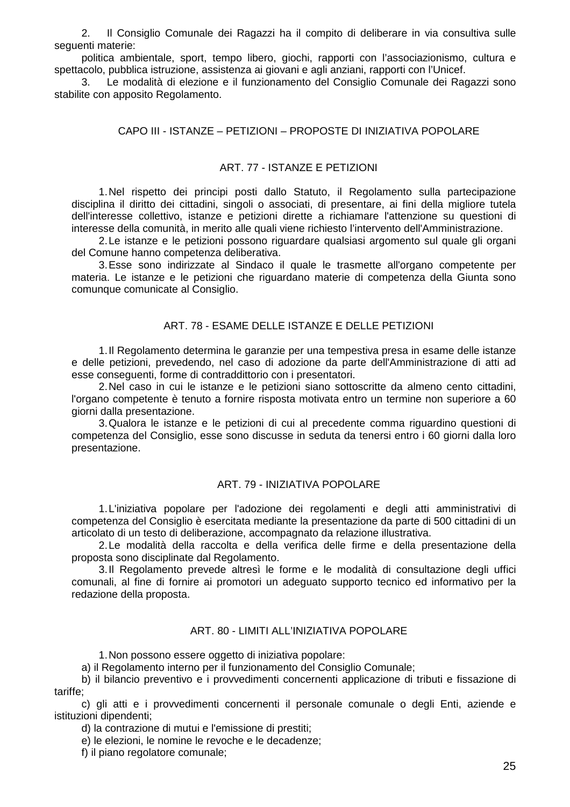2. Il Consiglio Comunale dei Ragazzi ha il compito di deliberare in via consultiva sulle seguenti materie:

politica ambientale, sport, tempo libero, giochi, rapporti con l'associazionismo, cultura e spettacolo, pubblica istruzione, assistenza ai giovani e agli anziani, rapporti con l'Unicef.

3. Le modalità di elezione e il funzionamento del Consiglio Comunale dei Ragazzi sono stabilite con apposito Regolamento.

#### CAPO III - ISTANZE – PETIZIONI – PROPOSTE DI INIZIATIVA POPOLARE

#### ART. 77 - ISTANZE E PETIZIONI

1. Nel rispetto dei principi posti dallo Statuto, il Regolamento sulla partecipazione disciplina il diritto dei cittadini, singoli o associati, di presentare, ai fini della migliore tutela dell'interesse collettivo, istanze e petizioni dirette a richiamare l'attenzione su questioni di interesse della comunità, in merito alle quali viene richiesto l'intervento dell'Amministrazione.

2. Le istanze e le petizioni possono riguardare qualsiasi argomento sul quale gli organi del Comune hanno competenza deliberativa.

3. Esse sono indirizzate al Sindaco il quale le trasmette all'organo competente per materia. Le istanze e le petizioni che riguardano materie di competenza della Giunta sono comunque comunicate al Consiglio.

## ART. 78 - ESAME DELLE ISTANZE E DELLE PETIZIONI

1. Il Regolamento determina le garanzie per una tempestiva presa in esame delle istanze e delle petizioni, prevedendo, nel caso di adozione da parte dell'Amministrazione di atti ad esse conseguenti, forme di contraddittorio con i presentatori.

2. Nel caso in cui le istanze e le petizioni siano sottoscritte da almeno cento cittadini, l'organo competente è tenuto a fornire risposta motivata entro un termine non superiore a 60 giorni dalla presentazione.

3. Qualora le istanze e le petizioni di cui al precedente comma riguardino questioni di competenza del Consiglio, esse sono discusse in seduta da tenersi entro i 60 giorni dalla loro presentazione.

#### ART. 79 - INIZIATIVA POPOLARE

1. L'iniziativa popolare per l'adozione dei regolamenti e degli atti amministrativi di competenza del Consiglio è esercitata mediante la presentazione da parte di 500 cittadini di un articolato di un testo di deliberazione, accompagnato da relazione illustrativa.

2. Le modalità della raccolta e della verifica delle firme e della presentazione della proposta sono disciplinate dal Regolamento.

3. Il Regolamento prevede altresì le forme e le modalità di consultazione degli uffici comunali, al fine di fornire ai promotori un adeguato supporto tecnico ed informativo per la redazione della proposta.

# ART. 80 - LIMITI ALL'INIZIATIVA POPOLARE

1. Non possono essere oggetto di iniziativa popolare:

a) il Regolamento interno per il funzionamento del Consiglio Comunale;

b) il bilancio preventivo e i provvedimenti concernenti applicazione di tributi e fissazione di tariffe;

c) gli atti e i provvedimenti concernenti il personale comunale o degli Enti, aziende e istituzioni dipendenti;

d) la contrazione di mutui e l'emissione di prestiti;

e) le elezioni, le nomine le revoche e le decadenze;

f) il piano regolatore comunale;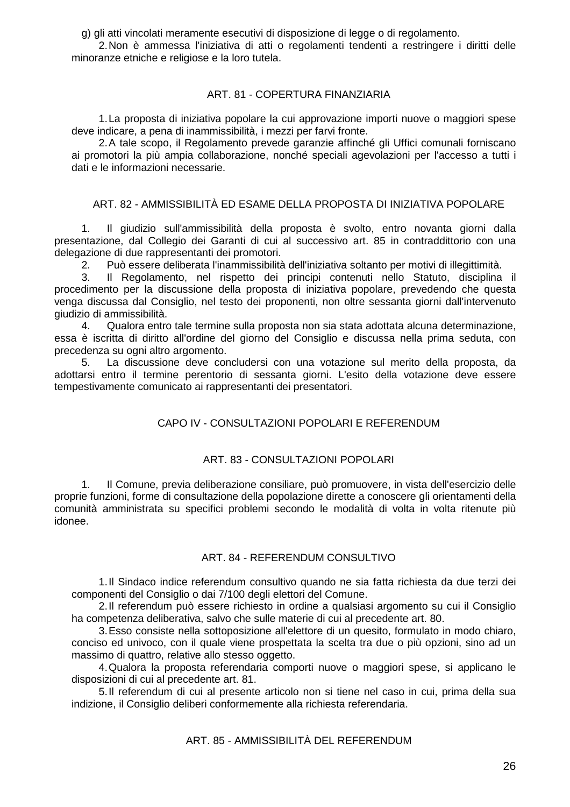g) gli atti vincolati meramente esecutivi di disposizione di legge o di regolamento.

2. Non è ammessa l'iniziativa di atti o regolamenti tendenti a restringere i diritti delle minoranze etniche e religiose e la loro tutela.

# ART. 81 - COPERTURA FINANZIARIA

1. La proposta di iniziativa popolare la cui approvazione importi nuove o maggiori spese deve indicare, a pena di inammissibilità, i mezzi per farvi fronte.

2. A tale scopo, il Regolamento prevede garanzie affinché gli Uffici comunali forniscano ai promotori la più ampia collaborazione, nonché speciali agevolazioni per l'accesso a tutti i dati e le informazioni necessarie.

# ART. 82 - AMMISSIBILITÀ ED ESAME DELLA PROPOSTA DI INIZIATIVA POPOLARE

1. Il giudizio sull'ammissibilità della proposta è svolto, entro novanta giorni dalla presentazione, dal Collegio dei Garanti di cui al successivo art. 85 in contraddittorio con una delegazione di due rappresentanti dei promotori.

2. Può essere deliberata l'inammissibilità dell'iniziativa soltanto per motivi di illegittimità.

Il Regolamento, nel rispetto dei principi contenuti nello Statuto, disciplina il procedimento per la discussione della proposta di iniziativa popolare, prevedendo che questa venga discussa dal Consiglio, nel testo dei proponenti, non oltre sessanta giorni dall'intervenuto giudizio di ammissibilità.

4. Qualora entro tale termine sulla proposta non sia stata adottata alcuna determinazione, essa è iscritta di diritto all'ordine del giorno del Consiglio e discussa nella prima seduta, con precedenza su ogni altro argomento.

5. La discussione deve concludersi con una votazione sul merito della proposta, da adottarsi entro il termine perentorio di sessanta giorni. L'esito della votazione deve essere tempestivamente comunicato ai rappresentanti dei presentatori.

# CAPO IV - CONSULTAZIONI POPOLARI E REFERENDUM

# ART. 83 - CONSULTAZIONI POPOLARI

1. Il Comune, previa deliberazione consiliare, può promuovere, in vista dell'esercizio delle proprie funzioni, forme di consultazione della popolazione dirette a conoscere gli orientamenti della comunità amministrata su specifici problemi secondo le modalità di volta in volta ritenute più idonee.

# ART. 84 - REFERENDUM CONSULTIVO

1. Il Sindaco indice referendum consultivo quando ne sia fatta richiesta da due terzi dei componenti del Consiglio o dai 7/100 degli elettori del Comune.

2. Il referendum può essere richiesto in ordine a qualsiasi argomento su cui il Consiglio ha competenza deliberativa, salvo che sulle materie di cui al precedente art. 80.

3. Esso consiste nella sottoposizione all'elettore di un quesito, formulato in modo chiaro, conciso ed univoco, con il quale viene prospettata la scelta tra due o più opzioni, sino ad un massimo di quattro, relative allo stesso oggetto.

4. Qualora la proposta referendaria comporti nuove o maggiori spese, si applicano le disposizioni di cui al precedente art. 81.

5. Il referendum di cui al presente articolo non si tiene nel caso in cui, prima della sua indizione, il Consiglio deliberi conformemente alla richiesta referendaria.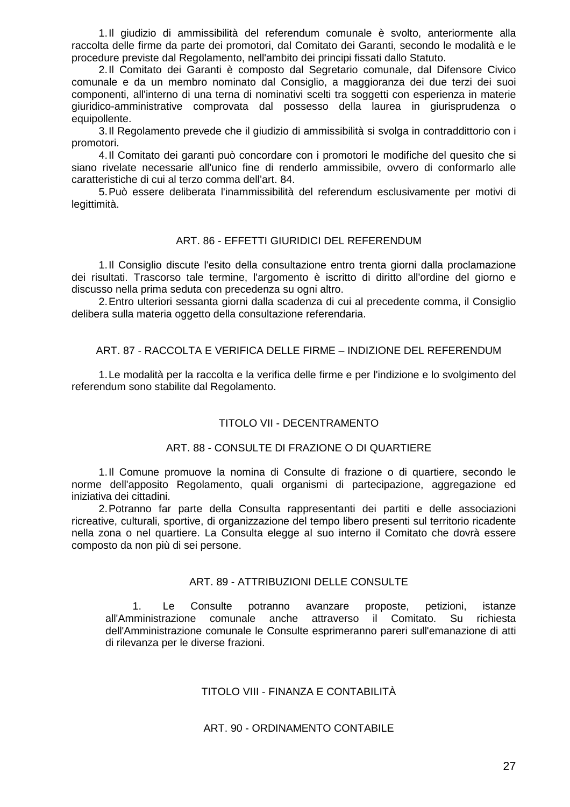1. Il giudizio di ammissibilità del referendum comunale è svolto, anteriormente alla raccolta delle firme da parte dei promotori, dal Comitato dei Garanti, secondo le modalità e le procedure previste dal Regolamento, nell'ambito dei principi fissati dallo Statuto.

2. Il Comitato dei Garanti è composto dal Segretario comunale, dal Difensore Civico comunale e da un membro nominato dal Consiglio, a maggioranza dei due terzi dei suoi componenti, all'interno di una terna di nominativi scelti tra soggetti con esperienza in materie giuridico-amministrative comprovata dal possesso della laurea in giurisprudenza o equipollente.

3. Il Regolamento prevede che il giudizio di ammissibilità si svolga in contraddittorio con i promotori.

4. Il Comitato dei garanti può concordare con i promotori le modifiche del quesito che si siano rivelate necessarie all'unico fine di renderlo ammissibile, ovvero di conformarlo alle caratteristiche di cui al terzo comma dell'art. 84.

5. Può essere deliberata l'inammissibilità del referendum esclusivamente per motivi di legittimità.

## ART. 86 - EFFETTI GIURIDICI DEL REFERENDUM

1. Il Consiglio discute l'esito della consultazione entro trenta giorni dalla proclamazione dei risultati. Trascorso tale termine, l'argomento è iscritto di diritto all'ordine del giorno e discusso nella prima seduta con precedenza su ogni altro.

2. Entro ulteriori sessanta giorni dalla scadenza di cui al precedente comma, il Consiglio delibera sulla materia oggetto della consultazione referendaria.

## ART. 87 - RACCOLTA E VERIFICA DELLE FIRME – INDIZIONE DEL REFERENDUM

1. Le modalità per la raccolta e la verifica delle firme e per l'indizione e lo svolgimento del referendum sono stabilite dal Regolamento.

# TITOLO VII - DECENTRAMENTO

## ART. 88 - CONSULTE DI FRAZIONE O DI QUARTIERE

1. Il Comune promuove la nomina di Consulte di frazione o di quartiere, secondo le norme dell'apposito Regolamento, quali organismi di partecipazione, aggregazione ed iniziativa dei cittadini.

2. Potranno far parte della Consulta rappresentanti dei partiti e delle associazioni ricreative, culturali, sportive, di organizzazione del tempo libero presenti sul territorio ricadente nella zona o nel quartiere. La Consulta elegge al suo interno il Comitato che dovrà essere composto da non più di sei persone.

## ART. 89 - ATTRIBUZIONI DELLE CONSULTE

1. Le Consulte potranno avanzare proposte, petizioni, istanze all'Amministrazione comunale anche attraverso il Comitato. Su richiesta dell'Amministrazione comunale le Consulte esprimeranno pareri sull'emanazione di atti di rilevanza per le diverse frazioni.

# TITOLO VIII - FINANZA E CONTABILITÀ

#### ART. 90 - ORDINAMENTO CONTABILE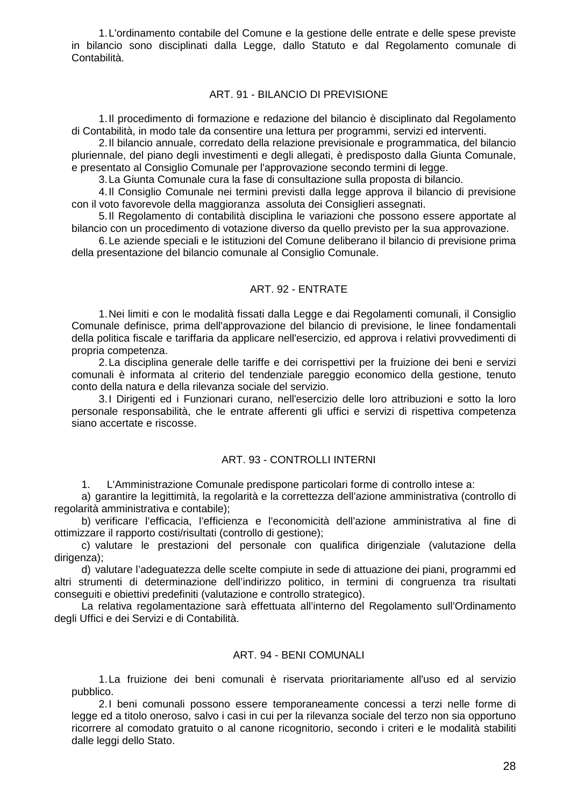1. L'ordinamento contabile del Comune e la gestione delle entrate e delle spese previste in bilancio sono disciplinati dalla Legge, dallo Statuto e dal Regolamento comunale di Contabilità.

## ART. 91 - BILANCIO DI PREVISIONE

1. Il procedimento di formazione e redazione del bilancio è disciplinato dal Regolamento di Contabilità, in modo tale da consentire una lettura per programmi, servizi ed interventi.

2. Il bilancio annuale, corredato della relazione previsionale e programmatica, del bilancio pluriennale, del piano degli investimenti e degli allegati, è predisposto dalla Giunta Comunale, e presentato al Consiglio Comunale per l'approvazione secondo termini di legge.

3. La Giunta Comunale cura la fase di consultazione sulla proposta di bilancio.

4. Il Consiglio Comunale nei termini previsti dalla legge approva il bilancio di previsione con il voto favorevole della maggioranza assoluta dei Consiglieri assegnati.

5. Il Regolamento di contabilità disciplina le variazioni che possono essere apportate al bilancio con un procedimento di votazione diverso da quello previsto per la sua approvazione.

6. Le aziende speciali e le istituzioni del Comune deliberano il bilancio di previsione prima della presentazione del bilancio comunale al Consiglio Comunale.

# ART. 92 - ENTRATE

1. Nei limiti e con le modalità fissati dalla Legge e dai Regolamenti comunali, il Consiglio Comunale definisce, prima dell'approvazione del bilancio di previsione, le linee fondamentali della politica fiscale e tariffaria da applicare nell'esercizio, ed approva i relativi provvedimenti di propria competenza.

2. La disciplina generale delle tariffe e dei corrispettivi per la fruizione dei beni e servizi comunali è informata al criterio del tendenziale pareggio economico della gestione, tenuto conto della natura e della rilevanza sociale del servizio.

3. I Dirigenti ed i Funzionari curano, nell'esercizio delle loro attribuzioni e sotto la loro personale responsabilità, che le entrate afferenti gli uffici e servizi di rispettiva competenza siano accertate e riscosse.

#### ART. 93 - CONTROLLI INTERNI

1. L'Amministrazione Comunale predispone particolari forme di controllo intese a:

a) garantire la legittimità, la regolarità e la correttezza dell'azione amministrativa (controllo di regolarità amministrativa e contabile);

b) verificare l'efficacia, l'efficienza e l'economicità dell'azione amministrativa al fine di ottimizzare il rapporto costi/risultati (controllo di gestione);

c) valutare le prestazioni del personale con qualifica dirigenziale (valutazione della dirigenza);

d) valutare l'adeguatezza delle scelte compiute in sede di attuazione dei piani, programmi ed altri strumenti di determinazione dell'indirizzo politico, in termini di congruenza tra risultati conseguiti e obiettivi predefiniti (valutazione e controllo strategico).

La relativa regolamentazione sarà effettuata all'interno del Regolamento sull'Ordinamento degli Uffici e dei Servizi e di Contabilità.

## ART. 94 - BENI COMUNALI

1. La fruizione dei beni comunali è riservata prioritariamente all'uso ed al servizio pubblico.

2. I beni comunali possono essere temporaneamente concessi a terzi nelle forme di legge ed a titolo oneroso, salvo i casi in cui per la rilevanza sociale del terzo non sia opportuno ricorrere al comodato gratuito o al canone ricognitorio, secondo i criteri e le modalità stabiliti dalle leggi dello Stato.